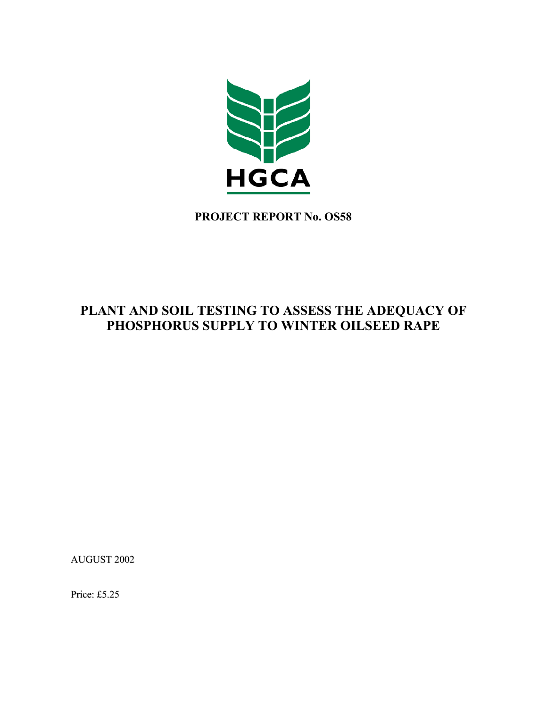

**PROJECT REPORT No. OS58** 

# **PLANT AND SOIL TESTING TO ASSESS THE ADEQUACY OF PHOSPHORUS SUPPLY TO WINTER OILSEED RAPE**

AUGUST 2002

Price: £5.25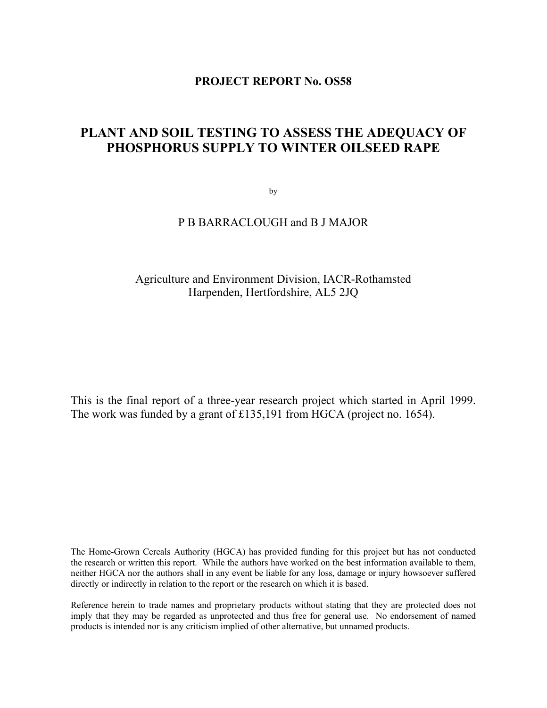## **PROJECT REPORT No. OS58**

# **PLANT AND SOIL TESTING TO ASSESS THE ADEQUACY OF PHOSPHORUS SUPPLY TO WINTER OILSEED RAPE**

by

## P B BARRACLOUGH and B J MAJOR

## Agriculture and Environment Division, IACR-Rothamsted Harpenden, Hertfordshire, AL5 2JQ

This is the final report of a three-year research project which started in April 1999. The work was funded by a grant of £135,191 from HGCA (project no. 1654).

The Home-Grown Cereals Authority (HGCA) has provided funding for this project but has not conducted the research or written this report. While the authors have worked on the best information available to them, neither HGCA nor the authors shall in any event be liable for any loss, damage or injury howsoever suffered directly or indirectly in relation to the report or the research on which it is based.

Reference herein to trade names and proprietary products without stating that they are protected does not imply that they may be regarded as unprotected and thus free for general use. No endorsement of named products is intended nor is any criticism implied of other alternative, but unnamed products.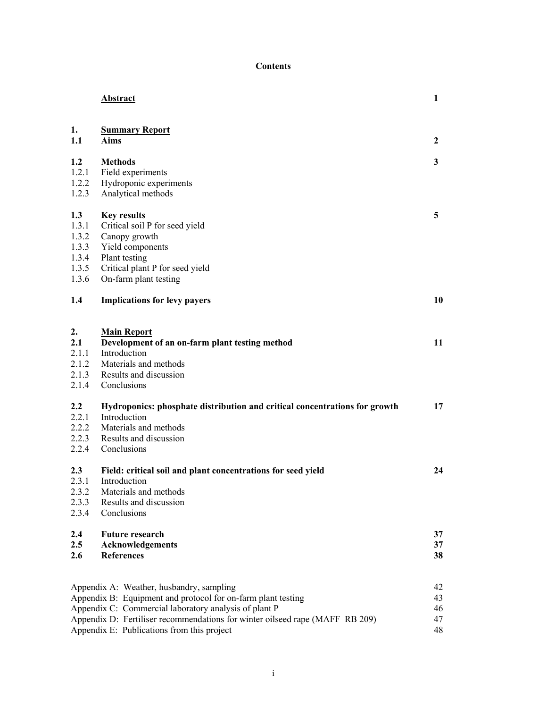### **Contents**

|                                                           | <b>Abstract</b>                                                                                                                                                                                                                                                                                 | 1                          |
|-----------------------------------------------------------|-------------------------------------------------------------------------------------------------------------------------------------------------------------------------------------------------------------------------------------------------------------------------------------------------|----------------------------|
| 1.<br>1.1                                                 | <b>Summary Report</b><br><b>Aims</b>                                                                                                                                                                                                                                                            | $\mathbf{2}$               |
| 1.2<br>1.2.1<br>1.2.2<br>1.2.3                            | <b>Methods</b><br>Field experiments<br>Hydroponic experiments<br>Analytical methods                                                                                                                                                                                                             | 3                          |
| 1.3<br>1.3.1<br>1.3.2<br>1.3.3<br>1.3.4<br>1.3.5<br>1.3.6 | <b>Key results</b><br>Critical soil P for seed yield<br>Canopy growth<br>Yield components<br>Plant testing<br>Critical plant P for seed yield<br>On-farm plant testing                                                                                                                          | 5                          |
| $1.4\phantom{0}$                                          | <b>Implications for levy payers</b>                                                                                                                                                                                                                                                             | 10                         |
| 2.<br>2.1<br>2.1.1<br>2.1.2<br>2.1.3<br>2.1.4             | <b>Main Report</b><br>Development of an on-farm plant testing method<br>Introduction<br>Materials and methods<br>Results and discussion<br>Conclusions                                                                                                                                          | 11                         |
| $2.2\,$<br>2.2.1<br>2.2.2<br>2.2.3<br>2.2.4               | Hydroponics: phosphate distribution and critical concentrations for growth<br>Introduction<br>Materials and methods<br>Results and discussion<br>Conclusions                                                                                                                                    | 17                         |
| 2.3<br>2.3.1<br>2.3.2<br>2.3.3<br>2.3.4                   | Field: critical soil and plant concentrations for seed yield<br>Introduction<br>Materials and methods<br>Results and discussion<br>Conclusions                                                                                                                                                  | 24                         |
| 2.4<br>2.5<br>2.6                                         | <b>Future research</b><br><b>Acknowledgements</b><br><b>References</b>                                                                                                                                                                                                                          | 37<br>37<br>38             |
|                                                           | Appendix A: Weather, husbandry, sampling<br>Appendix B: Equipment and protocol for on-farm plant testing<br>Appendix C: Commercial laboratory analysis of plant P<br>Appendix D: Fertiliser recommendations for winter oilseed rape (MAFF RB 209)<br>Appendix E: Publications from this project | 42<br>43<br>46<br>47<br>48 |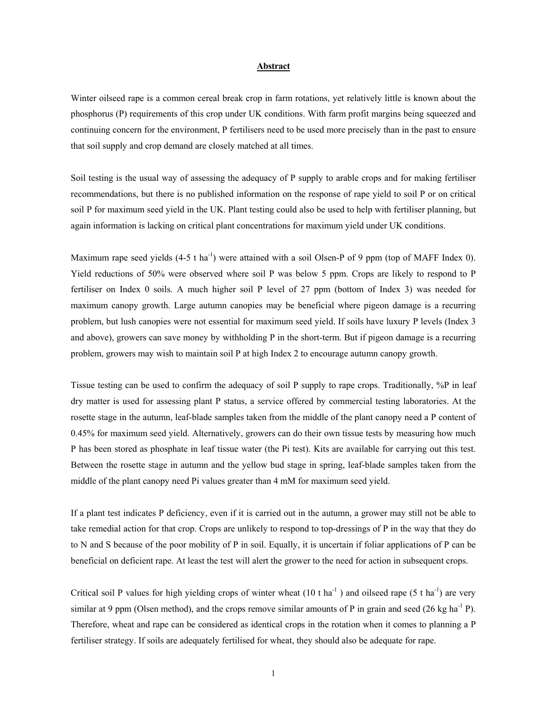#### **Abstract**

Winter oilseed rape is a common cereal break crop in farm rotations, yet relatively little is known about the phosphorus (P) requirements of this crop under UK conditions. With farm profit margins being squeezed and continuing concern for the environment, P fertilisers need to be used more precisely than in the past to ensure that soil supply and crop demand are closely matched at all times.

Soil testing is the usual way of assessing the adequacy of P supply to arable crops and for making fertiliser recommendations, but there is no published information on the response of rape yield to soil P or on critical soil P for maximum seed yield in the UK. Plant testing could also be used to help with fertiliser planning, but again information is lacking on critical plant concentrations for maximum yield under UK conditions.

Maximum rape seed yields  $(4-5 \text{ t} \text{ ha}^{-1})$  were attained with a soil Olsen-P of 9 ppm (top of MAFF Index 0). Yield reductions of 50% were observed where soil P was below 5 ppm. Crops are likely to respond to P fertiliser on Index 0 soils. A much higher soil P level of 27 ppm (bottom of Index 3) was needed for maximum canopy growth. Large autumn canopies may be beneficial where pigeon damage is a recurring problem, but lush canopies were not essential for maximum seed yield. If soils have luxury P levels (Index 3 and above), growers can save money by withholding P in the short-term. But if pigeon damage is a recurring problem, growers may wish to maintain soil P at high Index 2 to encourage autumn canopy growth.

Tissue testing can be used to confirm the adequacy of soil P supply to rape crops. Traditionally, %P in leaf dry matter is used for assessing plant P status, a service offered by commercial testing laboratories. At the rosette stage in the autumn, leaf-blade samples taken from the middle of the plant canopy need a P content of 0.45% for maximum seed yield. Alternatively, growers can do their own tissue tests by measuring how much P has been stored as phosphate in leaf tissue water (the Pi test). Kits are available for carrying out this test. Between the rosette stage in autumn and the yellow bud stage in spring, leaf-blade samples taken from the middle of the plant canopy need Pi values greater than 4 mM for maximum seed yield.

If a plant test indicates P deficiency, even if it is carried out in the autumn, a grower may still not be able to take remedial action for that crop. Crops are unlikely to respond to top-dressings of P in the way that they do to N and S because of the poor mobility of P in soil. Equally, it is uncertain if foliar applications of P can be beneficial on deficient rape. At least the test will alert the grower to the need for action in subsequent crops.

Critical soil P values for high yielding crops of winter wheat  $(10 \text{ t} \text{ ha}^{-1})$  and oilseed rape  $(5 \text{ t} \text{ ha}^{-1})$  are very similar at 9 ppm (Olsen method), and the crops remove similar amounts of P in grain and seed (26 kg ha<sup>-1</sup> P). Therefore, wheat and rape can be considered as identical crops in the rotation when it comes to planning a P fertiliser strategy. If soils are adequately fertilised for wheat, they should also be adequate for rape.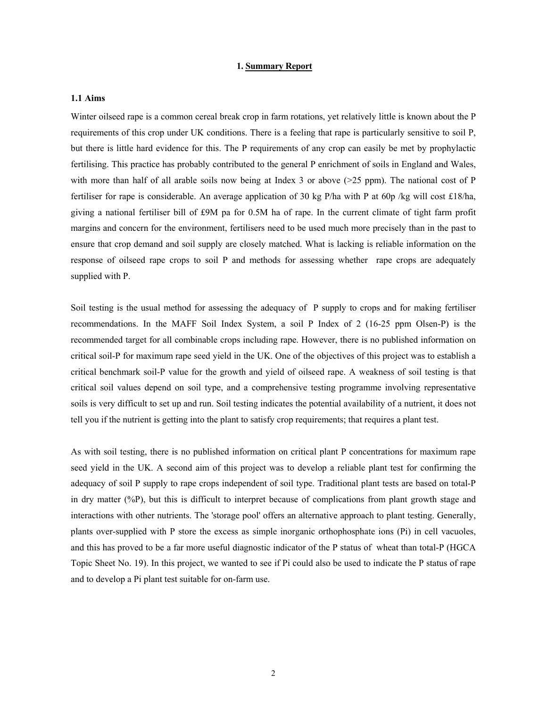#### **1. Summary Report**

### **1.1 Aims**

Winter oilseed rape is a common cereal break crop in farm rotations, yet relatively little is known about the P requirements of this crop under UK conditions. There is a feeling that rape is particularly sensitive to soil P, but there is little hard evidence for this. The P requirements of any crop can easily be met by prophylactic fertilising. This practice has probably contributed to the general P enrichment of soils in England and Wales, with more than half of all arable soils now being at Index 3 or above ( $>25$  ppm). The national cost of P fertiliser for rape is considerable. An average application of 30 kg P/ha with P at 60p /kg will cost £18/ha, giving a national fertiliser bill of £9M pa for 0.5M ha of rape. In the current climate of tight farm profit margins and concern for the environment, fertilisers need to be used much more precisely than in the past to ensure that crop demand and soil supply are closely matched. What is lacking is reliable information on the response of oilseed rape crops to soil P and methods for assessing whether rape crops are adequately supplied with P.

Soil testing is the usual method for assessing the adequacy of P supply to crops and for making fertiliser recommendations. In the MAFF Soil Index System, a soil P Index of 2 (16-25 ppm Olsen-P) is the recommended target for all combinable crops including rape. However, there is no published information on critical soil-P for maximum rape seed yield in the UK. One of the objectives of this project was to establish a critical benchmark soil-P value for the growth and yield of oilseed rape. A weakness of soil testing is that critical soil values depend on soil type, and a comprehensive testing programme involving representative soils is very difficult to set up and run. Soil testing indicates the potential availability of a nutrient, it does not tell you if the nutrient is getting into the plant to satisfy crop requirements; that requires a plant test.

As with soil testing, there is no published information on critical plant P concentrations for maximum rape seed yield in the UK. A second aim of this project was to develop a reliable plant test for confirming the adequacy of soil P supply to rape crops independent of soil type. Traditional plant tests are based on total-P in dry matter (%P), but this is difficult to interpret because of complications from plant growth stage and interactions with other nutrients. The 'storage pool' offers an alternative approach to plant testing. Generally, plants over-supplied with P store the excess as simple inorganic orthophosphate ions (Pi) in cell vacuoles, and this has proved to be a far more useful diagnostic indicator of the P status of wheat than total-P (HGCA Topic Sheet No. 19). In this project, we wanted to see if Pi could also be used to indicate the P status of rape and to develop a Pi plant test suitable for on-farm use.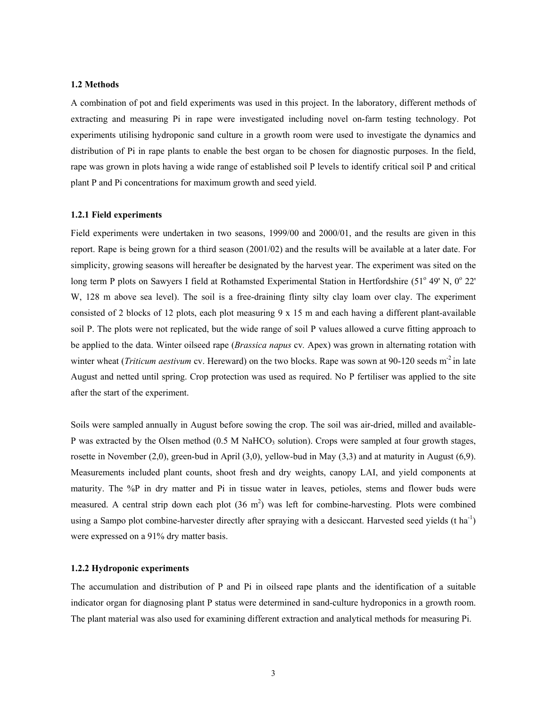#### **1.2 Methods**

A combination of pot and field experiments was used in this project. In the laboratory, different methods of extracting and measuring Pi in rape were investigated including novel on-farm testing technology. Pot experiments utilising hydroponic sand culture in a growth room were used to investigate the dynamics and distribution of Pi in rape plants to enable the best organ to be chosen for diagnostic purposes. In the field, rape was grown in plots having a wide range of established soil P levels to identify critical soil P and critical plant P and Pi concentrations for maximum growth and seed yield.

#### **1.2.1 Field experiments**

Field experiments were undertaken in two seasons, 1999/00 and 2000/01, and the results are given in this report. Rape is being grown for a third season (2001/02) and the results will be available at a later date. For simplicity, growing seasons will hereafter be designated by the harvest year. The experiment was sited on the long term P plots on Sawyers I field at Rothamsted Experimental Station in Hertfordshire (51° 49' N, 0° 22' W, 128 m above sea level). The soil is a free-draining flinty silty clay loam over clay. The experiment consisted of 2 blocks of 12 plots, each plot measuring  $9 \times 15$  m and each having a different plant-available soil P. The plots were not replicated, but the wide range of soil P values allowed a curve fitting approach to be applied to the data. Winter oilseed rape (*Brassica napus* cv*.* Apex) was grown in alternating rotation with winter wheat (*Triticum aestivum* cv. Hereward) on the two blocks. Rape was sown at 90-120 seeds m<sup>-2</sup> in late August and netted until spring. Crop protection was used as required. No P fertiliser was applied to the site after the start of the experiment.

Soils were sampled annually in August before sowing the crop. The soil was air-dried, milled and available-P was extracted by the Olsen method  $(0.5 M \text{ NaHCO}_3 \text{ solution})$ . Crops were sampled at four growth stages, rosette in November (2,0), green-bud in April (3,0), yellow-bud in May (3,3) and at maturity in August (6,9). Measurements included plant counts, shoot fresh and dry weights, canopy LAI, and yield components at maturity. The %P in dry matter and Pi in tissue water in leaves, petioles, stems and flower buds were measured. A central strip down each plot  $(36 \text{ m}^2)$  was left for combine-harvesting. Plots were combined using a Sampo plot combine-harvester directly after spraying with a desiccant. Harvested seed yields (t ha<sup>-1</sup>) were expressed on a 91% dry matter basis.

#### **1.2.2 Hydroponic experiments**

The accumulation and distribution of P and Pi in oilseed rape plants and the identification of a suitable indicator organ for diagnosing plant P status were determined in sand-culture hydroponics in a growth room. The plant material was also used for examining different extraction and analytical methods for measuring Pi.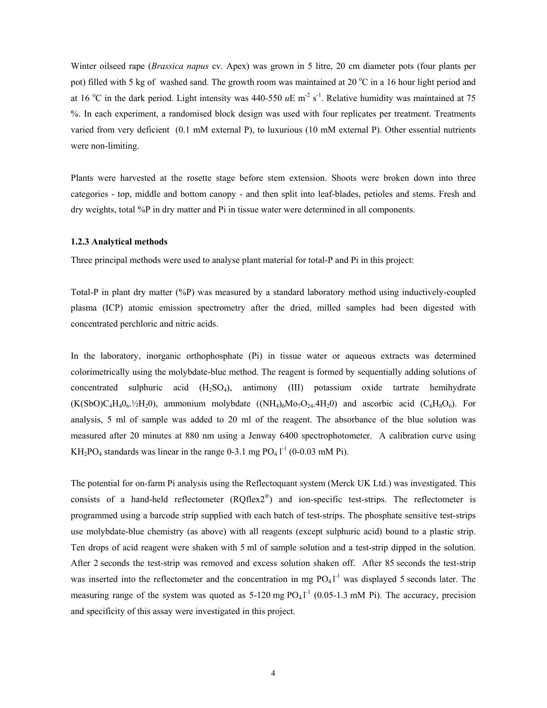Winter oilseed rape (*Brassica napus* cv. Apex) was grown in 5 litre, 20 cm diameter pots (four plants per pot) filled with 5 kg of washed sand. The growth room was maintained at 20 °C in a 16 hour light period and at 16 °C in the dark period. Light intensity was  $440-550 \; \mu \text{E m}^2 \text{ s}^{-1}$ . Relative humidity was maintained at 75 %. In each experiment, a randomised block design was used with four replicates per treatment. Treatments varied from very deficient (0.1 mM external P), to luxurious (10 mM external P). Other essential nutrients were non-limiting.

Plants were harvested at the rosette stage before stem extension. Shoots were broken down into three categories - top, middle and bottom canopy - and then split into leaf-blades, petioles and stems. Fresh and dry weights, total %P in dry matter and Pi in tissue water were determined in all components.

#### **1.2.3 Analytical methods**

Three principal methods were used to analyse plant material for total-P and Pi in this project:

Total-P in plant dry matter (%P) was measured by a standard laboratory method using inductively-coupled plasma (ICP) atomic emission spectrometry after the dried, milled samples had been digested with concentrated perchloric and nitric acids.

In the laboratory, inorganic orthophosphate (Pi) in tissue water or aqueous extracts was determined colorimetrically using the molybdate-blue method. The reagent is formed by sequentially adding solutions of concentrated sulphuric acid (H2SO4), antimony (III) potassium oxide tartrate hemihydrate  $(K(SbO)C_4H_4O_6.½H_2O)$ , ammonium molybdate  $((NH_4)_6Mo_7O_{24}.4H_2O)$  and ascorbic acid  $(C_6H_8O_6)$ . For analysis, 5 ml of sample was added to 20 ml of the reagent. The absorbance of the blue solution was measured after 20 minutes at 880 nm using a Jenway 6400 spectrophotometer. A calibration curve using  $KH_2PO_4$  standards was linear in the range 0-3.1 mg  $PO_4$  l<sup>-1</sup> (0-0.03 mM Pi).

The potential for on-farm Pi analysis using the Reflectoquant system (Merck UK Ltd.) was investigated. This consists of a hand-held reflectometer  $(RQflex2^{\mathcal{R}})$  and ion-specific test-strips. The reflectometer is programmed using a barcode strip supplied with each batch of test-strips. The phosphate sensitive test-strips use molybdate-blue chemistry (as above) with all reagents (except sulphuric acid) bound to a plastic strip. Ten drops of acid reagent were shaken with 5 ml of sample solution and a test-strip dipped in the solution. After 2 seconds the test-strip was removed and excess solution shaken off. After 85 seconds the test-strip was inserted into the reflectometer and the concentration in mg  $PO_4$ <sup>1-1</sup> was displayed 5 seconds later. The measuring range of the system was quoted as  $5-120$  mg  $PO_41^{-1}$  (0.05-1.3 mM Pi). The accuracy, precision and specificity of this assay were investigated in this project.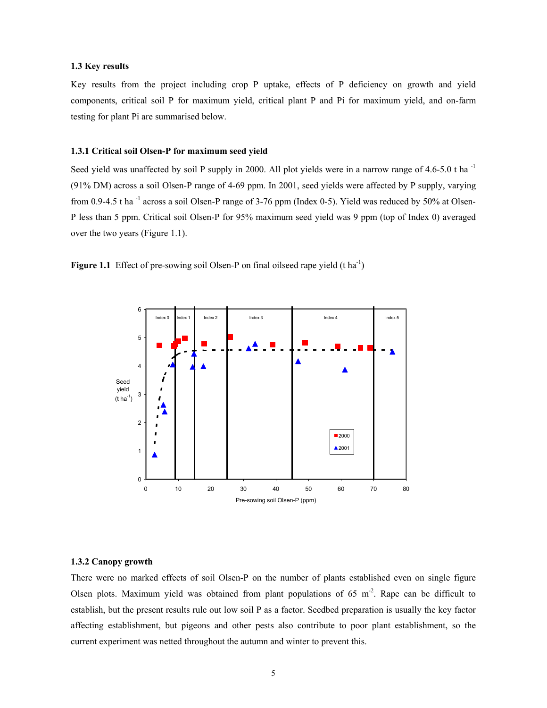#### **1.3 Key results**

Key results from the project including crop P uptake, effects of P deficiency on growth and yield components, critical soil P for maximum yield, critical plant P and Pi for maximum yield, and on-farm testing for plant Pi are summarised below.

#### **1.3.1 Critical soil Olsen-P for maximum seed yield**

Seed yield was unaffected by soil P supply in 2000. All plot yields were in a narrow range of 4.6-5.0 t ha<sup>-1</sup> (91% DM) across a soil Olsen-P range of 4-69 ppm. In 2001, seed yields were affected by P supply, varying from 0.9-4.5 t ha<sup>-1</sup> across a soil Olsen-P range of 3-76 ppm (Index 0-5). Yield was reduced by 50% at Olsen-P less than 5 ppm. Critical soil Olsen-P for 95% maximum seed yield was 9 ppm (top of Index 0) averaged over the two years (Figure 1.1).





#### **1.3.2 Canopy growth**

There were no marked effects of soil Olsen-P on the number of plants established even on single figure Olsen plots. Maximum yield was obtained from plant populations of  $65 \text{ m}^2$ . Rape can be difficult to establish, but the present results rule out low soil P as a factor. Seedbed preparation is usually the key factor affecting establishment, but pigeons and other pests also contribute to poor plant establishment, so the current experiment was netted throughout the autumn and winter to prevent this.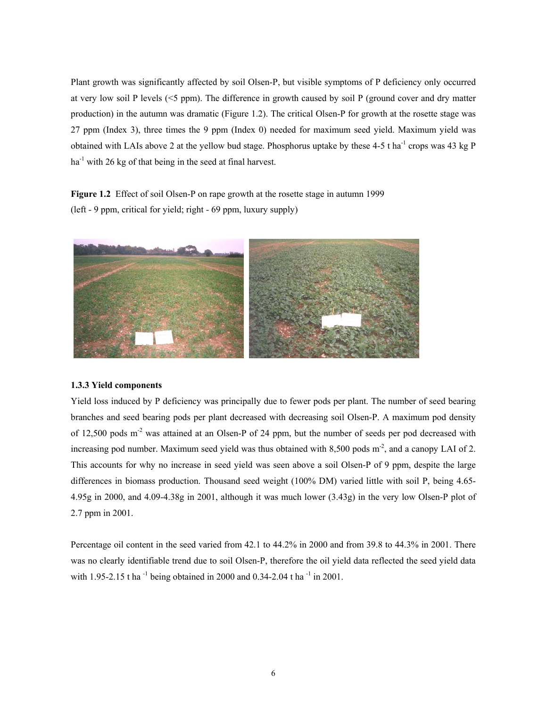Plant growth was significantly affected by soil Olsen-P, but visible symptoms of P deficiency only occurred at very low soil P levels (<5 ppm). The difference in growth caused by soil P (ground cover and dry matter production) in the autumn was dramatic (Figure 1.2). The critical Olsen-P for growth at the rosette stage was 27 ppm (Index 3), three times the 9 ppm (Index 0) needed for maximum seed yield. Maximum yield was obtained with LAIs above 2 at the yellow bud stage. Phosphorus uptake by these  $4-5$  t ha<sup>-1</sup> crops was  $43$  kg P  $ha^{-1}$  with 26 kg of that being in the seed at final harvest.

**Figure 1.2** Effect of soil Olsen-P on rape growth at the rosette stage in autumn 1999 (left - 9 ppm, critical for yield; right - 69 ppm, luxury supply)



#### **1.3.3 Yield components**

Yield loss induced by P deficiency was principally due to fewer pods per plant. The number of seed bearing branches and seed bearing pods per plant decreased with decreasing soil Olsen-P. A maximum pod density of 12,500 pods m-2 was attained at an Olsen-P of 24 ppm, but the number of seeds per pod decreased with increasing pod number. Maximum seed yield was thus obtained with 8,500 pods  $m<sup>2</sup>$ , and a canopy LAI of 2. This accounts for why no increase in seed yield was seen above a soil Olsen-P of 9 ppm, despite the large differences in biomass production. Thousand seed weight (100% DM) varied little with soil P, being 4.65- 4.95g in 2000, and 4.09-4.38g in 2001, although it was much lower (3.43g) in the very low Olsen-P plot of 2.7 ppm in 2001.

Percentage oil content in the seed varied from 42.1 to 44.2% in 2000 and from 39.8 to 44.3% in 2001. There was no clearly identifiable trend due to soil Olsen-P, therefore the oil yield data reflected the seed yield data with 1.95-2.15 t ha<sup>-1</sup> being obtained in 2000 and 0.34-2.04 t ha<sup>-1</sup> in 2001.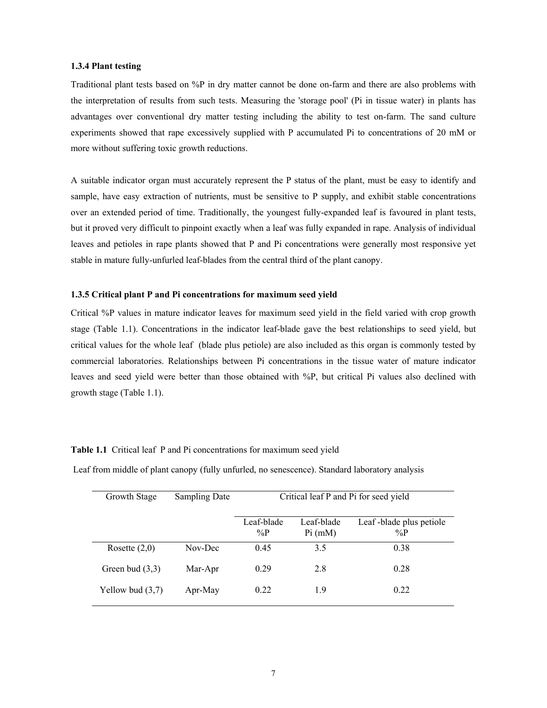#### **1.3.4 Plant testing**

Traditional plant tests based on %P in dry matter cannot be done on-farm and there are also problems with the interpretation of results from such tests. Measuring the 'storage pool' (Pi in tissue water) in plants has advantages over conventional dry matter testing including the ability to test on-farm. The sand culture experiments showed that rape excessively supplied with P accumulated Pi to concentrations of 20 mM or more without suffering toxic growth reductions.

A suitable indicator organ must accurately represent the P status of the plant, must be easy to identify and sample, have easy extraction of nutrients, must be sensitive to P supply, and exhibit stable concentrations over an extended period of time. Traditionally, the youngest fully-expanded leaf is favoured in plant tests, but it proved very difficult to pinpoint exactly when a leaf was fully expanded in rape. Analysis of individual leaves and petioles in rape plants showed that P and Pi concentrations were generally most responsive yet stable in mature fully-unfurled leaf-blades from the central third of the plant canopy.

#### **1.3.5 Critical plant P and Pi concentrations for maximum seed yield**

Critical %P values in mature indicator leaves for maximum seed yield in the field varied with crop growth stage (Table 1.1). Concentrations in the indicator leaf-blade gave the best relationships to seed yield, but critical values for the whole leaf (blade plus petiole) are also included as this organ is commonly tested by commercial laboratories. Relationships between Pi concentrations in the tissue water of mature indicator leaves and seed yield were better than those obtained with %P, but critical Pi values also declined with growth stage (Table 1.1).

### **Table 1.1** Critical leaf P and Pi concentrations for maximum seed yield

Leaf from middle of plant canopy (fully unfurled, no senescence). Standard laboratory analysis

| Growth Stage       | <b>Sampling Date</b> | Critical leaf P and Pi for seed yield |                       |                                  |  |  |
|--------------------|----------------------|---------------------------------------|-----------------------|----------------------------------|--|--|
|                    |                      | Leaf-blade<br>$\%P$                   | Leaf-blade<br>Pi (mM) | Leaf-blade plus petiole<br>$\%P$ |  |  |
| Rosette $(2,0)$    | Nov-Dec              | 0.45                                  | 3.5                   | 0.38                             |  |  |
| Green bud $(3,3)$  | Mar-Apr              | 0.29                                  | 2.8                   | 0.28                             |  |  |
| Yellow bud $(3,7)$ | Apr-May              | 0.22                                  | 1.9                   | 0.22                             |  |  |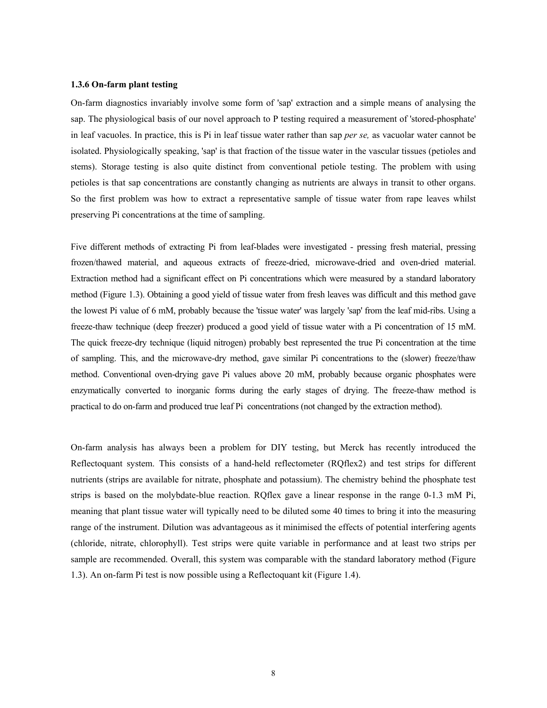#### **1.3.6 On-farm plant testing**

On-farm diagnostics invariably involve some form of 'sap' extraction and a simple means of analysing the sap. The physiological basis of our novel approach to P testing required a measurement of 'stored-phosphate' in leaf vacuoles. In practice, this is Pi in leaf tissue water rather than sap *per se,* as vacuolar water cannot be isolated. Physiologically speaking, 'sap' is that fraction of the tissue water in the vascular tissues (petioles and stems). Storage testing is also quite distinct from conventional petiole testing. The problem with using petioles is that sap concentrations are constantly changing as nutrients are always in transit to other organs. So the first problem was how to extract a representative sample of tissue water from rape leaves whilst preserving Pi concentrations at the time of sampling.

Five different methods of extracting Pi from leaf-blades were investigated - pressing fresh material, pressing frozen/thawed material, and aqueous extracts of freeze-dried, microwave-dried and oven-dried material. Extraction method had a significant effect on Pi concentrations which were measured by a standard laboratory method (Figure 1.3). Obtaining a good yield of tissue water from fresh leaves was difficult and this method gave the lowest Pi value of 6 mM, probably because the 'tissue water' was largely 'sap' from the leaf mid-ribs. Using a freeze-thaw technique (deep freezer) produced a good yield of tissue water with a Pi concentration of 15 mM. The quick freeze-dry technique (liquid nitrogen) probably best represented the true Pi concentration at the time of sampling. This, and the microwave-dry method, gave similar Pi concentrations to the (slower) freeze/thaw method. Conventional oven-drying gave Pi values above 20 mM, probably because organic phosphates were enzymatically converted to inorganic forms during the early stages of drying. The freeze-thaw method is practical to do on-farm and produced true leaf Pi concentrations (not changed by the extraction method).

On-farm analysis has always been a problem for DIY testing, but Merck has recently introduced the Reflectoquant system. This consists of a hand-held reflectometer (RQflex2) and test strips for different nutrients (strips are available for nitrate, phosphate and potassium). The chemistry behind the phosphate test strips is based on the molybdate-blue reaction. RQflex gave a linear response in the range 0-1.3 mM Pi, meaning that plant tissue water will typically need to be diluted some 40 times to bring it into the measuring range of the instrument. Dilution was advantageous as it minimised the effects of potential interfering agents (chloride, nitrate, chlorophyll). Test strips were quite variable in performance and at least two strips per sample are recommended. Overall, this system was comparable with the standard laboratory method (Figure 1.3). An on-farm Pi test is now possible using a Reflectoquant kit (Figure 1.4).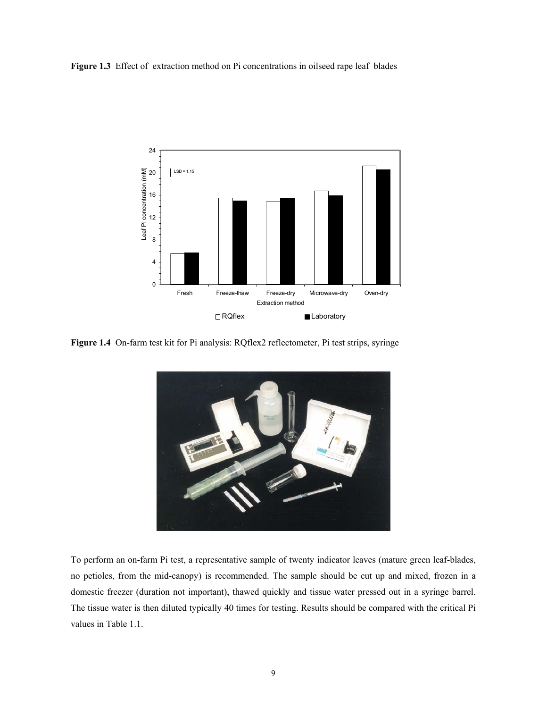**Figure 1.3** Effect of extraction method on Pi concentrations in oilseed rape leaf blades



**Figure 1.4** On-farm test kit for Pi analysis: RQflex2 reflectometer, Pi test strips, syringe



To perform an on-farm Pi test, a representative sample of twenty indicator leaves (mature green leaf-blades, no petioles, from the mid-canopy) is recommended. The sample should be cut up and mixed, frozen in a domestic freezer (duration not important), thawed quickly and tissue water pressed out in a syringe barrel. The tissue water is then diluted typically 40 times for testing. Results should be compared with the critical Pi values in Table 1.1.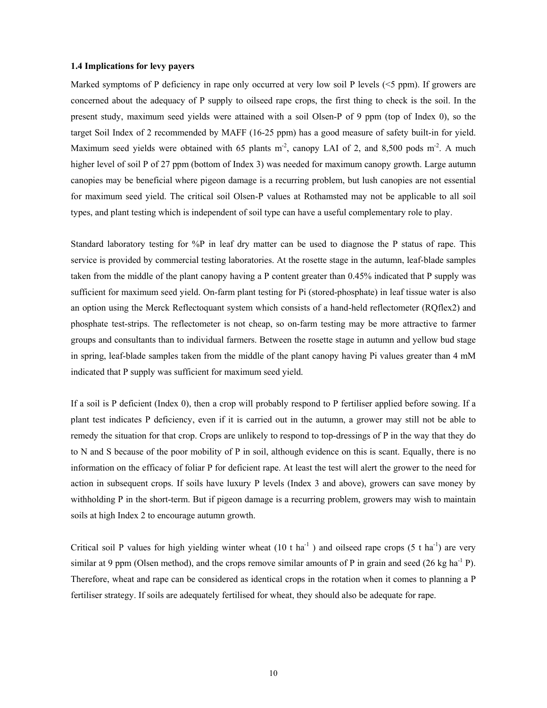#### **1.4 Implications for levy payers**

Marked symptoms of P deficiency in rape only occurred at very low soil P levels (<5 ppm). If growers are concerned about the adequacy of P supply to oilseed rape crops, the first thing to check is the soil. In the present study, maximum seed yields were attained with a soil Olsen-P of 9 ppm (top of Index 0), so the target Soil Index of 2 recommended by MAFF (16-25 ppm) has a good measure of safety built-in for yield. Maximum seed yields were obtained with 65 plants  $m<sup>2</sup>$ , canopy LAI of 2, and 8,500 pods  $m<sup>2</sup>$ . A much higher level of soil P of 27 ppm (bottom of Index 3) was needed for maximum canopy growth. Large autumn canopies may be beneficial where pigeon damage is a recurring problem, but lush canopies are not essential for maximum seed yield. The critical soil Olsen-P values at Rothamsted may not be applicable to all soil types, and plant testing which is independent of soil type can have a useful complementary role to play.

Standard laboratory testing for %P in leaf dry matter can be used to diagnose the P status of rape. This service is provided by commercial testing laboratories. At the rosette stage in the autumn, leaf-blade samples taken from the middle of the plant canopy having a P content greater than 0.45% indicated that P supply was sufficient for maximum seed yield. On-farm plant testing for Pi (stored-phosphate) in leaf tissue water is also an option using the Merck Reflectoquant system which consists of a hand-held reflectometer (RQflex2) and phosphate test-strips. The reflectometer is not cheap, so on-farm testing may be more attractive to farmer groups and consultants than to individual farmers. Between the rosette stage in autumn and yellow bud stage in spring, leaf-blade samples taken from the middle of the plant canopy having Pi values greater than 4 mM indicated that P supply was sufficient for maximum seed yield.

If a soil is P deficient (Index 0), then a crop will probably respond to P fertiliser applied before sowing. If a plant test indicates P deficiency, even if it is carried out in the autumn, a grower may still not be able to remedy the situation for that crop. Crops are unlikely to respond to top-dressings of P in the way that they do to N and S because of the poor mobility of P in soil, although evidence on this is scant. Equally, there is no information on the efficacy of foliar P for deficient rape. At least the test will alert the grower to the need for action in subsequent crops. If soils have luxury P levels (Index 3 and above), growers can save money by withholding P in the short-term. But if pigeon damage is a recurring problem, growers may wish to maintain soils at high Index 2 to encourage autumn growth.

Critical soil P values for high yielding winter wheat  $(10 \text{ t} \text{ ha}^{-1})$  and oilseed rape crops  $(5 \text{ t} \text{ ha}^{-1})$  are very similar at 9 ppm (Olsen method), and the crops remove similar amounts of P in grain and seed (26 kg ha<sup>-1</sup> P). Therefore, wheat and rape can be considered as identical crops in the rotation when it comes to planning a P fertiliser strategy. If soils are adequately fertilised for wheat, they should also be adequate for rape.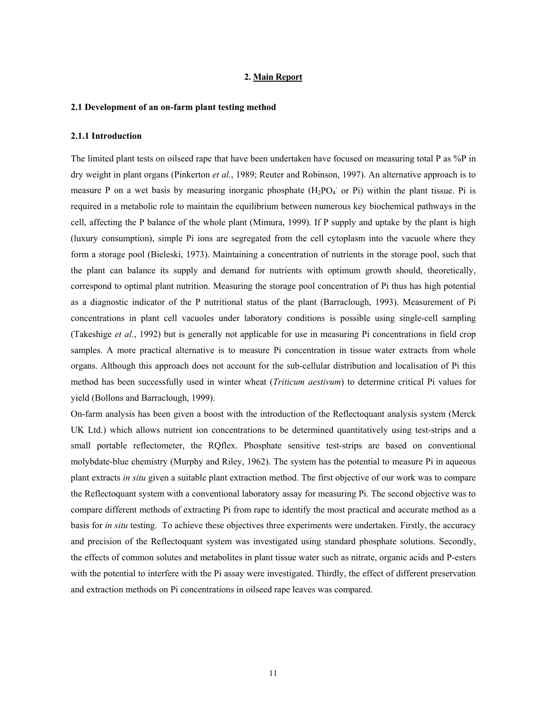#### **2. Main Report**

#### **2.1 Development of an on-farm plant testing method**

#### **2.1.1 Introduction**

The limited plant tests on oilseed rape that have been undertaken have focused on measuring total P as %P in dry weight in plant organs (Pinkerton *et al.*, 1989; Reuter and Robinson, 1997). An alternative approach is to measure P on a wet basis by measuring inorganic phosphate  $(H_2PO_4^-$  or Pi) within the plant tissue. Pi is required in a metabolic role to maintain the equilibrium between numerous key biochemical pathways in the cell, affecting the P balance of the whole plant (Mimura, 1999). If P supply and uptake by the plant is high (luxury consumption), simple Pi ions are segregated from the cell cytoplasm into the vacuole where they form a storage pool (Bieleski, 1973). Maintaining a concentration of nutrients in the storage pool, such that the plant can balance its supply and demand for nutrients with optimum growth should, theoretically, correspond to optimal plant nutrition. Measuring the storage pool concentration of Pi thus has high potential as a diagnostic indicator of the P nutritional status of the plant (Barraclough, 1993). Measurement of Pi concentrations in plant cell vacuoles under laboratory conditions is possible using single-cell sampling (Takeshige *et al.*, 1992) but is generally not applicable for use in measuring Pi concentrations in field crop samples. A more practical alternative is to measure Pi concentration in tissue water extracts from whole organs. Although this approach does not account for the sub-cellular distribution and localisation of Pi this method has been successfully used in winter wheat (*Triticum aestivum*) to determine critical Pi values for yield (Bollons and Barraclough, 1999).

On-farm analysis has been given a boost with the introduction of the Reflectoquant analysis system (Merck UK Ltd.) which allows nutrient ion concentrations to be determined quantitatively using test-strips and a small portable reflectometer, the RQflex. Phosphate sensitive test-strips are based on conventional molybdate-blue chemistry (Murphy and Riley, 1962). The system has the potential to measure Pi in aqueous plant extracts *in situ* given a suitable plant extraction method. The first objective of our work was to compare the Reflectoquant system with a conventional laboratory assay for measuring Pi. The second objective was to compare different methods of extracting Pi from rape to identify the most practical and accurate method as a basis for *in situ* testing. To achieve these objectives three experiments were undertaken. Firstly, the accuracy and precision of the Reflectoquant system was investigated using standard phosphate solutions. Secondly, the effects of common solutes and metabolites in plant tissue water such as nitrate, organic acids and P-esters with the potential to interfere with the Pi assay were investigated. Thirdly, the effect of different preservation and extraction methods on Pi concentrations in oilseed rape leaves was compared.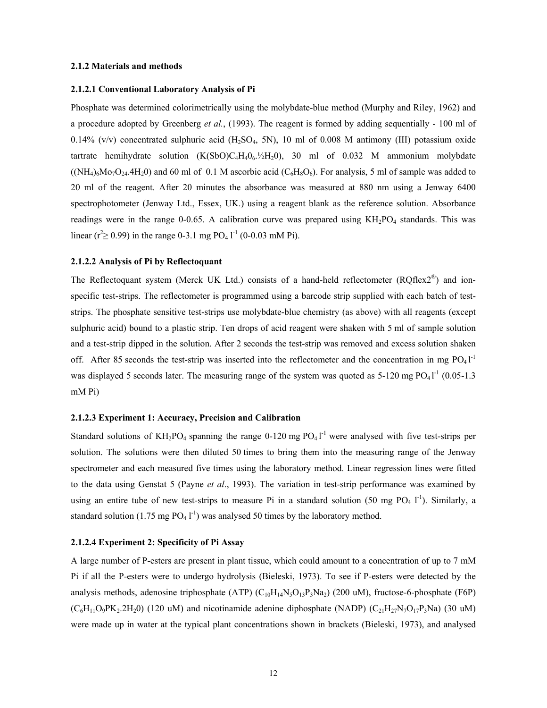#### **2.1.2 Materials and methods**

#### **2.1.2.1 Conventional Laboratory Analysis of Pi**

Phosphate was determined colorimetrically using the molybdate-blue method (Murphy and Riley, 1962) and a procedure adopted by Greenberg *et al.*, (1993). The reagent is formed by adding sequentially - 100 ml of  $0.14\%$  (v/v) concentrated sulphuric acid (H<sub>2</sub>SO<sub>4</sub>, 5N), 10 ml of 0.008 M antimony (III) potassium oxide tartrate hemihydrate solution  $(K(SbO)C<sub>4</sub>H<sub>4</sub>O<sub>6</sub>$ .  $/2H<sub>2</sub>O$ , 30 ml of 0.032 M ammonium molybdate  $((NH_4)_6Mo_7O_{24}.4H_2O)$  and 60 ml of 0.1 M ascorbic acid  $(C_6H_8O_6)$ . For analysis, 5 ml of sample was added to 20 ml of the reagent. After 20 minutes the absorbance was measured at 880 nm using a Jenway 6400 spectrophotometer (Jenway Ltd., Essex, UK.) using a reagent blank as the reference solution. Absorbance readings were in the range 0-0.65. A calibration curve was prepared using  $KH<sub>2</sub>PO<sub>4</sub>$  standards. This was linear ( $r^2 \ge 0.99$ ) in the range 0-3.1 mg PO<sub>4</sub> l<sup>-1</sup> (0-0.03 mM Pi).

#### **2.1.2.2 Analysis of Pi by Reflectoquant**

The Reflectoquant system (Merck UK Ltd.) consists of a hand-held reflectometer (RQflex2<sup>®</sup>) and ionspecific test-strips. The reflectometer is programmed using a barcode strip supplied with each batch of teststrips. The phosphate sensitive test-strips use molybdate-blue chemistry (as above) with all reagents (except sulphuric acid) bound to a plastic strip. Ten drops of acid reagent were shaken with 5 ml of sample solution and a test-strip dipped in the solution. After 2 seconds the test-strip was removed and excess solution shaken off. After 85 seconds the test-strip was inserted into the reflectometer and the concentration in mg  $PO<sub>4</sub>1<sup>-1</sup>$ was displayed 5 seconds later. The measuring range of the system was quoted as  $5-120$  mg  $PO<sub>4</sub>1<sup>-1</sup>$  (0.05-1.3 mM Pi)

#### **2.1.2.3 Experiment 1: Accuracy, Precision and Calibration**

Standard solutions of  $KH_2PO_4$  spanning the range 0-120 mg  $PO_41^{-1}$  were analysed with five test-strips per solution. The solutions were then diluted 50 times to bring them into the measuring range of the Jenway spectrometer and each measured five times using the laboratory method. Linear regression lines were fitted to the data using Genstat 5 (Payne *et al*., 1993). The variation in test-strip performance was examined by using an entire tube of new test-strips to measure Pi in a standard solution (50 mg PO<sub>4</sub> l<sup>-1</sup>). Similarly, a standard solution (1.75 mg  $PO_4$  l<sup>-1</sup>) was analysed 50 times by the laboratory method.

#### **2.1.2.4 Experiment 2: Specificity of Pi Assay**

A large number of P-esters are present in plant tissue, which could amount to a concentration of up to 7 mM Pi if all the P-esters were to undergo hydrolysis (Bieleski, 1973). To see if P-esters were detected by the analysis methods, adenosine triphosphate (ATP)  $(C_{10}H_{14}N_5O_{13}P_3N_4)$  (200 uM), fructose-6-phosphate (F6P)  $(C_6H_{11}O_9PK_2.2H_2O)$  (120 uM) and nicotinamide adenine diphosphate (NADP)  $(C_{21}H_{27}N_7O_{17}P_3Na)$  (30 uM) were made up in water at the typical plant concentrations shown in brackets (Bieleski, 1973), and analysed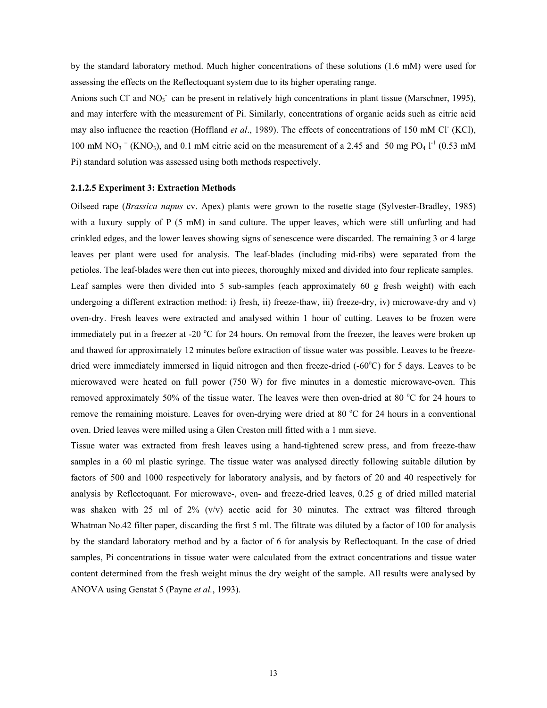by the standard laboratory method. Much higher concentrations of these solutions (1.6 mM) were used for assessing the effects on the Reflectoquant system due to its higher operating range.

Anions such Cl<sup>-</sup> and NO<sub>3</sub><sup>-</sup> can be present in relatively high concentrations in plant tissue (Marschner, 1995), and may interfere with the measurement of Pi. Similarly, concentrations of organic acids such as citric acid may also influence the reaction (Hoffland *et al.*, 1989). The effects of concentrations of 150 mM Cl<sup>-</sup> (KCl), 100 mM NO<sub>3</sub> <sup>-</sup> (KNO<sub>3</sub>), and 0.1 mM citric acid on the measurement of a 2.45 and 50 mg PO<sub>4</sub> l<sup>-1</sup> (0.53 mM Pi) standard solution was assessed using both methods respectively.

#### **2.1.2.5 Experiment 3: Extraction Methods**

Oilseed rape (*Brassica napus* cv. Apex) plants were grown to the rosette stage (Sylvester-Bradley, 1985) with a luxury supply of P (5 mM) in sand culture. The upper leaves, which were still unfurling and had crinkled edges, and the lower leaves showing signs of senescence were discarded. The remaining 3 or 4 large leaves per plant were used for analysis. The leaf-blades (including mid-ribs) were separated from the petioles. The leaf-blades were then cut into pieces, thoroughly mixed and divided into four replicate samples. Leaf samples were then divided into 5 sub-samples (each approximately 60 g fresh weight) with each undergoing a different extraction method: i) fresh, ii) freeze-thaw, iii) freeze-dry, iv) microwave-dry and v) oven-dry. Fresh leaves were extracted and analysed within 1 hour of cutting. Leaves to be frozen were immediately put in a freezer at -20 °C for 24 hours. On removal from the freezer, the leaves were broken up and thawed for approximately 12 minutes before extraction of tissue water was possible. Leaves to be freezedried were immediately immersed in liquid nitrogen and then freeze-dried (-60°C) for 5 days. Leaves to be microwaved were heated on full power (750 W) for five minutes in a domestic microwave-oven. This removed approximately 50% of the tissue water. The leaves were then oven-dried at 80 °C for 24 hours to remove the remaining moisture. Leaves for oven-drying were dried at 80 °C for 24 hours in a conventional oven. Dried leaves were milled using a Glen Creston mill fitted with a 1 mm sieve.

Tissue water was extracted from fresh leaves using a hand-tightened screw press, and from freeze-thaw samples in a 60 ml plastic syringe. The tissue water was analysed directly following suitable dilution by factors of 500 and 1000 respectively for laboratory analysis, and by factors of 20 and 40 respectively for analysis by Reflectoquant. For microwave-, oven- and freeze-dried leaves, 0.25 g of dried milled material was shaken with 25 ml of 2%  $(v/v)$  acetic acid for 30 minutes. The extract was filtered through Whatman No.42 filter paper, discarding the first 5 ml. The filtrate was diluted by a factor of 100 for analysis by the standard laboratory method and by a factor of 6 for analysis by Reflectoquant. In the case of dried samples, Pi concentrations in tissue water were calculated from the extract concentrations and tissue water content determined from the fresh weight minus the dry weight of the sample. All results were analysed by ANOVA using Genstat 5 (Payne *et al.*, 1993).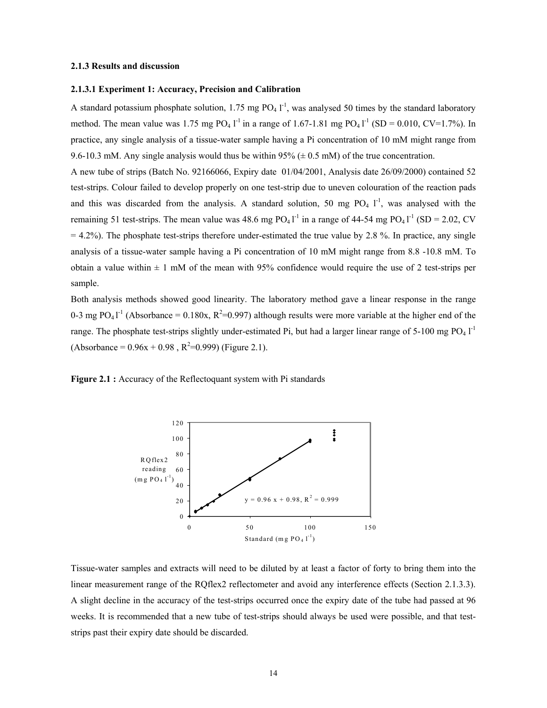#### **2.1.3 Results and discussion**

#### **2.1.3.1 Experiment 1: Accuracy, Precision and Calibration**

A standard potassium phosphate solution, 1.75 mg  $PO_4 I^{-1}$ , was analysed 50 times by the standard laboratory method. The mean value was 1.75 mg  $PO_4$  l<sup>-1</sup> in a range of 1.67-1.81 mg  $PO_4$  l<sup>-1</sup> (SD = 0.010, CV=1.7%). In practice, any single analysis of a tissue-water sample having a Pi concentration of 10 mM might range from 9.6-10.3 mM. Any single analysis would thus be within 95% ( $\pm$  0.5 mM) of the true concentration.

A new tube of strips (Batch No. 92166066, Expiry date 01/04/2001, Analysis date 26/09/2000) contained 52 test-strips. Colour failed to develop properly on one test-strip due to uneven colouration of the reaction pads and this was discarded from the analysis. A standard solution, 50 mg  $PO_4$   $I^1$ , was analysed with the remaining 51 test-strips. The mean value was 48.6 mg  $PO_4I^{-1}$  in a range of 44-54 mg  $PO_4I^{-1}$  (SD = 2.02, CV  $= 4.2\%$ ). The phosphate test-strips therefore under-estimated the true value by 2.8 %. In practice, any single analysis of a tissue-water sample having a Pi concentration of 10 mM might range from 8.8 -10.8 mM. To obtain a value within  $\pm 1$  mM of the mean with 95% confidence would require the use of 2 test-strips per sample.

Both analysis methods showed good linearity. The laboratory method gave a linear response in the range 0-3 mg PO<sub>4</sub> $1^{-1}$  (Absorbance = 0.180x, R<sup>2</sup>=0.997) although results were more variable at the higher end of the range. The phosphate test-strips slightly under-estimated Pi, but had a larger linear range of 5-100 mg  $PO_4$   $I<sup>-1</sup>$  $(Absorbance = 0.96x + 0.98, R^2=0.999)$  (Figure 2.1).

**Figure 2.1 :** Accuracy of the Reflectoquant system with Pi standards



Tissue-water samples and extracts will need to be diluted by at least a factor of forty to bring them into the linear measurement range of the RQflex2 reflectometer and avoid any interference effects (Section 2.1.3.3). A slight decline in the accuracy of the test-strips occurred once the expiry date of the tube had passed at 96 weeks. It is recommended that a new tube of test-strips should always be used were possible, and that teststrips past their expiry date should be discarded.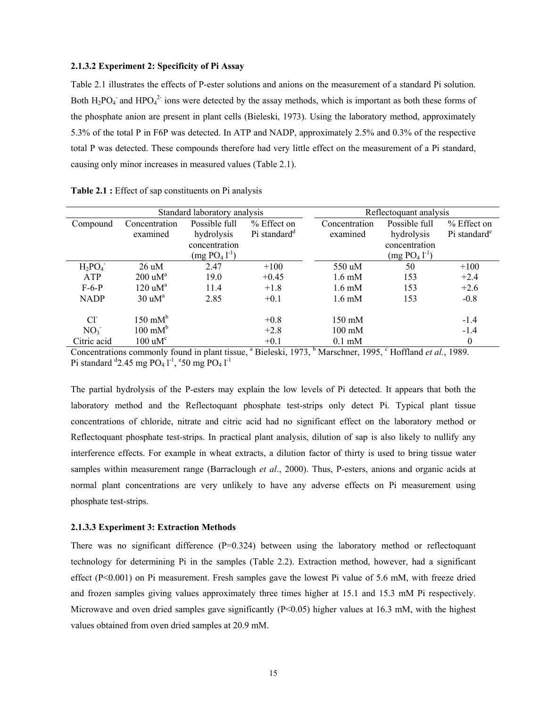#### **2.1.3.2 Experiment 2: Specificity of Pi Assay**

Table 2.1 illustrates the effects of P-ester solutions and anions on the measurement of a standard Pi solution. Both  $H_2PO_4$  and  $HPO_4^{2-}$  ions were detected by the assay methods, which is important as both these forms of the phosphate anion are present in plant cells (Bieleski, 1973). Using the laboratory method, approximately 5.3% of the total P in F6P was detected. In ATP and NADP, approximately 2.5% and 0.3% of the respective total P was detected. These compounds therefore had very little effect on the measurement of a Pi standard, causing only minor increases in measured values (Table 2.1).

|                 |                                | Standard laboratory analysis |                          | Reflectoquant analysis |               |                          |
|-----------------|--------------------------------|------------------------------|--------------------------|------------------------|---------------|--------------------------|
| Compound        | Possible full<br>Concentration |                              | % Effect on              | Concentration          | Possible full | % Effect on              |
|                 | examined                       | hydrolysis                   | Pi standard <sup>d</sup> | examined               | hydrolysis    | Pi standard <sup>e</sup> |
|                 |                                | concentration                |                          |                        | concentration |                          |
|                 |                                | $(mg PO41-1)$                |                          |                        | $(mg PO41-1)$ |                          |
| $H_2PO_4^-$     | $26 \text{ uM}$                | 2.47                         | $+100$                   | 550 uM                 | 50            | $+100$                   |
| <b>ATP</b>      | $200 \text{ uM}^{\text{a}}$    | 19.0                         | $+0.45$                  | $1.6 \text{ mM}$       | 153           | $+2.4$                   |
| $F-6-P$         | 120 uM <sup>a</sup>            | 11.4                         | $+1.8$                   | $1.6 \text{ mM}$       | 153           | $+2.6$                   |
| <b>NADP</b>     | $30 \text{ uM}^{\text{a}}$     | 2.85                         | $+0.1$                   | $1.6 \text{ mM}$       | 153           | $-0.8$                   |
| $Cl^{\sim}$     | $150 \text{ mM}^b$             |                              | $+0.8$                   | $150 \text{ mM}$       |               | $-1.4$                   |
| NO <sub>3</sub> | $100 \text{ mM}^b$             |                              | $+2.8$                   | $100 \text{ mM}$       |               | $-1.4$                   |
| Citric acid     | $100 \text{ uM}^{\text{c}}$    |                              | $+0.1$                   | $0.1 \text{ mM}$       |               | $\mathbf{0}$             |

**Table 2.1 :** Effect of sap constituents on Pi analysis

Concentrations commonly found in plant tissue, <sup>a</sup> Bieleski, 1973, <sup>b</sup> Marschner, 1995, <sup>c</sup> Hoffland *et al.*, 1989. Pi standard  $^{d}$ 2.45 mg PO<sub>4</sub> l<sup>-1</sup>, <sup>e</sup>50 mg PO<sub>4</sub> l<sup>-1</sup>

The partial hydrolysis of the P-esters may explain the low levels of Pi detected. It appears that both the laboratory method and the Reflectoquant phosphate test-strips only detect Pi. Typical plant tissue concentrations of chloride, nitrate and citric acid had no significant effect on the laboratory method or Reflectoquant phosphate test-strips. In practical plant analysis, dilution of sap is also likely to nullify any interference effects. For example in wheat extracts, a dilution factor of thirty is used to bring tissue water samples within measurement range (Barraclough *et al*., 2000). Thus, P-esters, anions and organic acids at normal plant concentrations are very unlikely to have any adverse effects on Pi measurement using phosphate test-strips.

#### **2.1.3.3 Experiment 3: Extraction Methods**

There was no significant difference  $(P=0.324)$  between using the laboratory method or reflectoquant technology for determining Pi in the samples (Table 2.2). Extraction method, however, had a significant effect  $(P<0.001)$  on Pi measurement. Fresh samples gave the lowest Pi value of 5.6 mM, with freeze dried and frozen samples giving values approximately three times higher at 15.1 and 15.3 mM Pi respectively. Microwave and oven dried samples gave significantly  $(P<0.05)$  higher values at 16.3 mM, with the highest values obtained from oven dried samples at 20.9 mM.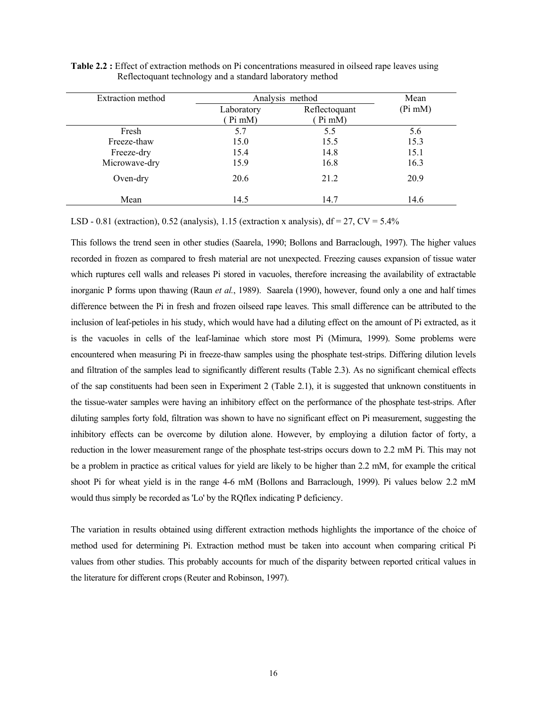| Extraction method |                      | Analysis method         |           |  |  |
|-------------------|----------------------|-------------------------|-----------|--|--|
|                   | Laboratory<br>Pi mM) | Reflectoquant<br>Pi mM) | $(Pi$ mM) |  |  |
| Fresh             | 5.7                  | 5.5                     | 5.6       |  |  |
| Freeze-thaw       | 15.0                 | 15.5                    | 15.3      |  |  |
| Freeze-dry        | 15.4                 | 14.8                    | 15.1      |  |  |
| Microwave-dry     | 15.9                 | 16.8                    | 16.3      |  |  |
| Oven-dry          | 20.6                 | 21.2                    | 20.9      |  |  |
| Mean              | 14.5                 | 14.7                    | 14.6      |  |  |

**Table 2.2 :** Effect of extraction methods on Pi concentrations measured in oilseed rape leaves using Reflectoquant technology and a standard laboratory method

LSD - 0.81 (extraction), 0.52 (analysis), 1.15 (extraction x analysis),  $df = 27$ ,  $CV = 5.4\%$ 

This follows the trend seen in other studies (Saarela, 1990; Bollons and Barraclough, 1997). The higher values recorded in frozen as compared to fresh material are not unexpected. Freezing causes expansion of tissue water which ruptures cell walls and releases Pi stored in vacuoles, therefore increasing the availability of extractable inorganic P forms upon thawing (Raun *et al.*, 1989). Saarela (1990), however, found only a one and half times difference between the Pi in fresh and frozen oilseed rape leaves. This small difference can be attributed to the inclusion of leaf-petioles in his study, which would have had a diluting effect on the amount of Pi extracted, as it is the vacuoles in cells of the leaf-laminae which store most Pi (Mimura, 1999). Some problems were encountered when measuring Pi in freeze-thaw samples using the phosphate test-strips. Differing dilution levels and filtration of the samples lead to significantly different results (Table 2.3). As no significant chemical effects of the sap constituents had been seen in Experiment 2 (Table 2.1), it is suggested that unknown constituents in the tissue-water samples were having an inhibitory effect on the performance of the phosphate test-strips. After diluting samples forty fold, filtration was shown to have no significant effect on Pi measurement, suggesting the inhibitory effects can be overcome by dilution alone. However, by employing a dilution factor of forty, a reduction in the lower measurement range of the phosphate test-strips occurs down to 2.2 mM Pi. This may not be a problem in practice as critical values for yield are likely to be higher than 2.2 mM, for example the critical shoot Pi for wheat yield is in the range 4-6 mM (Bollons and Barraclough, 1999). Pi values below 2.2 mM would thus simply be recorded as 'Lo' by the RQflex indicating P deficiency.

The variation in results obtained using different extraction methods highlights the importance of the choice of method used for determining Pi. Extraction method must be taken into account when comparing critical Pi values from other studies. This probably accounts for much of the disparity between reported critical values in the literature for different crops (Reuter and Robinson, 1997).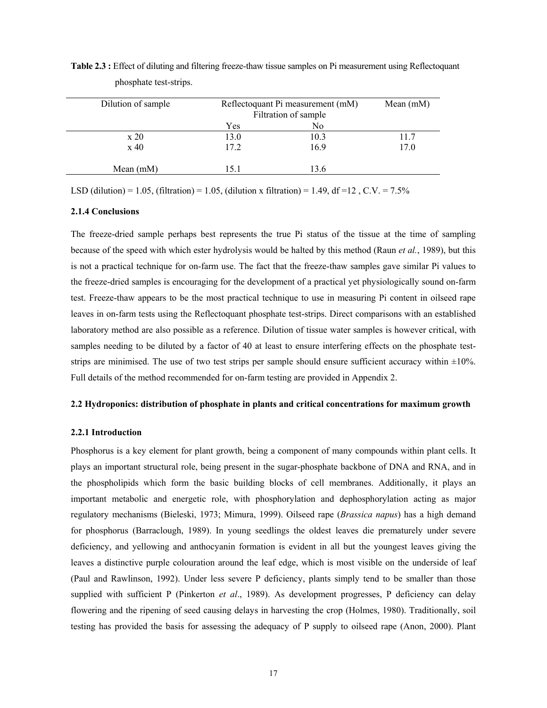| Dilution of sample           | Reflectoquant Pi measurement (mM)<br>Filtration of sample | Mean $(mM)$ |      |
|------------------------------|-----------------------------------------------------------|-------------|------|
|                              | Yes                                                       | No          |      |
| $\boldsymbol{\mathrm{x}}$ 20 | 13.0                                                      | 10.3        | 11.7 |
| $x\,40$                      | 17.2                                                      | 16.9        | 17.0 |
| Mean $(mM)$                  | 151                                                       | 13.6        |      |

**Table 2.3 :** Effect of diluting and filtering freeze-thaw tissue samples on Pi measurement using Reflectoquant phosphate test-strips.

LSD (dilution) = 1.05, (filtration) = 1.05, (dilution x filtration) = 1.49, df = 12, C.V. = 7.5%

#### **2.1.4 Conclusions**

The freeze-dried sample perhaps best represents the true Pi status of the tissue at the time of sampling because of the speed with which ester hydrolysis would be halted by this method (Raun *et al.*, 1989), but this is not a practical technique for on-farm use. The fact that the freeze-thaw samples gave similar Pi values to the freeze-dried samples is encouraging for the development of a practical yet physiologically sound on-farm test. Freeze-thaw appears to be the most practical technique to use in measuring Pi content in oilseed rape leaves in on-farm tests using the Reflectoquant phosphate test-strips. Direct comparisons with an established laboratory method are also possible as a reference. Dilution of tissue water samples is however critical, with samples needing to be diluted by a factor of 40 at least to ensure interfering effects on the phosphate teststrips are minimised. The use of two test strips per sample should ensure sufficient accuracy within  $\pm 10\%$ . Full details of the method recommended for on-farm testing are provided in Appendix 2.

#### **2.2 Hydroponics: distribution of phosphate in plants and critical concentrations for maximum growth**

#### **2.2.1 Introduction**

Phosphorus is a key element for plant growth, being a component of many compounds within plant cells. It plays an important structural role, being present in the sugar-phosphate backbone of DNA and RNA, and in the phospholipids which form the basic building blocks of cell membranes. Additionally, it plays an important metabolic and energetic role, with phosphorylation and dephosphorylation acting as major regulatory mechanisms (Bieleski, 1973; Mimura, 1999). Oilseed rape (*Brassica napus*) has a high demand for phosphorus (Barraclough, 1989). In young seedlings the oldest leaves die prematurely under severe deficiency, and yellowing and anthocyanin formation is evident in all but the youngest leaves giving the leaves a distinctive purple colouration around the leaf edge, which is most visible on the underside of leaf (Paul and Rawlinson, 1992). Under less severe P deficiency, plants simply tend to be smaller than those supplied with sufficient P (Pinkerton *et al*., 1989). As development progresses, P deficiency can delay flowering and the ripening of seed causing delays in harvesting the crop (Holmes, 1980). Traditionally, soil testing has provided the basis for assessing the adequacy of P supply to oilseed rape (Anon, 2000). Plant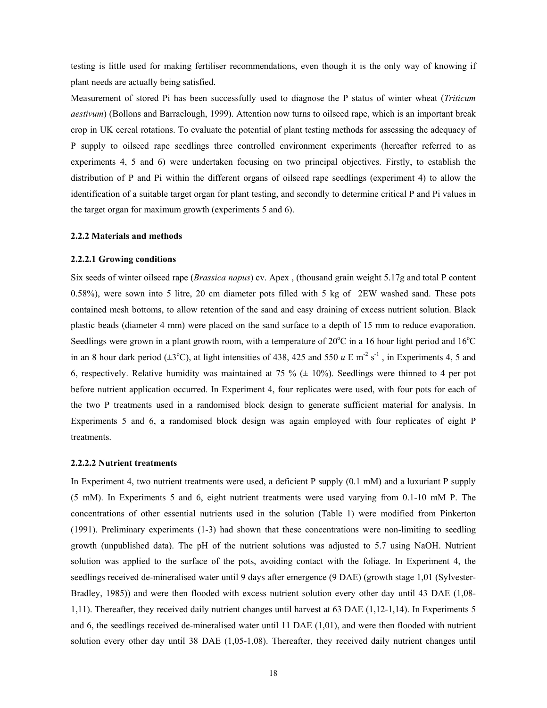testing is little used for making fertiliser recommendations, even though it is the only way of knowing if plant needs are actually being satisfied.

Measurement of stored Pi has been successfully used to diagnose the P status of winter wheat (*Triticum aestivum*) (Bollons and Barraclough, 1999). Attention now turns to oilseed rape, which is an important break crop in UK cereal rotations. To evaluate the potential of plant testing methods for assessing the adequacy of P supply to oilseed rape seedlings three controlled environment experiments (hereafter referred to as experiments 4, 5 and 6) were undertaken focusing on two principal objectives. Firstly, to establish the distribution of P and Pi within the different organs of oilseed rape seedlings (experiment 4) to allow the identification of a suitable target organ for plant testing, and secondly to determine critical P and Pi values in the target organ for maximum growth (experiments 5 and 6).

#### **2.2.2 Materials and methods**

#### **2.2.2.1 Growing conditions**

Six seeds of winter oilseed rape (*Brassica napus*) cv. Apex , (thousand grain weight 5.17g and total P content 0.58%), were sown into 5 litre, 20 cm diameter pots filled with 5 kg of 2EW washed sand. These pots contained mesh bottoms, to allow retention of the sand and easy draining of excess nutrient solution. Black plastic beads (diameter 4 mm) were placed on the sand surface to a depth of 15 mm to reduce evaporation. Seedlings were grown in a plant growth room, with a temperature of  $20^{\circ}$ C in a 16 hour light period and  $16^{\circ}$ C in an 8 hour dark period  $(\pm 3^{\circ}C)$ , at light intensities of 438, 425 and 550 *u* E m<sup>-2</sup> s<sup>-1</sup>, in Experiments 4, 5 and 6, respectively. Relative humidity was maintained at 75 % ( $\pm$  10%). Seedlings were thinned to 4 per pot before nutrient application occurred. In Experiment 4, four replicates were used, with four pots for each of the two P treatments used in a randomised block design to generate sufficient material for analysis. In Experiments 5 and 6, a randomised block design was again employed with four replicates of eight P treatments.

#### **2.2.2.2 Nutrient treatments**

In Experiment 4, two nutrient treatments were used, a deficient P supply (0.1 mM) and a luxuriant P supply (5 mM). In Experiments 5 and 6, eight nutrient treatments were used varying from 0.1-10 mM P. The concentrations of other essential nutrients used in the solution (Table 1) were modified from Pinkerton (1991). Preliminary experiments (1-3) had shown that these concentrations were non-limiting to seedling growth (unpublished data). The pH of the nutrient solutions was adjusted to 5.7 using NaOH. Nutrient solution was applied to the surface of the pots, avoiding contact with the foliage. In Experiment 4, the seedlings received de-mineralised water until 9 days after emergence (9 DAE) (growth stage 1,01 (Sylvester-Bradley, 1985)) and were then flooded with excess nutrient solution every other day until 43 DAE (1,08- 1,11). Thereafter, they received daily nutrient changes until harvest at 63 DAE (1,12-1,14). In Experiments 5 and 6, the seedlings received de-mineralised water until 11 DAE (1,01), and were then flooded with nutrient solution every other day until 38 DAE (1,05-1,08). Thereafter, they received daily nutrient changes until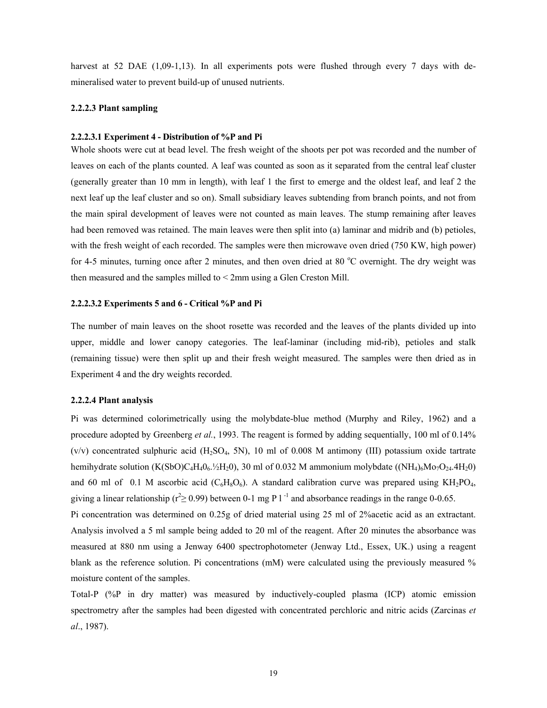harvest at 52 DAE (1,09-1,13). In all experiments pots were flushed through every 7 days with demineralised water to prevent build-up of unused nutrients.

#### **2.2.2.3 Plant sampling**

#### **2.2.2.3.1 Experiment 4 - Distribution of %P and Pi**

Whole shoots were cut at bead level. The fresh weight of the shoots per pot was recorded and the number of leaves on each of the plants counted. A leaf was counted as soon as it separated from the central leaf cluster (generally greater than 10 mm in length), with leaf 1 the first to emerge and the oldest leaf, and leaf 2 the next leaf up the leaf cluster and so on). Small subsidiary leaves subtending from branch points, and not from the main spiral development of leaves were not counted as main leaves. The stump remaining after leaves had been removed was retained. The main leaves were then split into (a) laminar and midrib and (b) petioles, with the fresh weight of each recorded. The samples were then microwave oven dried (750 KW, high power) for 4-5 minutes, turning once after 2 minutes, and then oven dried at 80 °C overnight. The dry weight was then measured and the samples milled to < 2mm using a Glen Creston Mill.

#### **2.2.2.3.2 Experiments 5 and 6 - Critical %P and Pi**

The number of main leaves on the shoot rosette was recorded and the leaves of the plants divided up into upper, middle and lower canopy categories. The leaf-laminar (including mid-rib), petioles and stalk (remaining tissue) were then split up and their fresh weight measured. The samples were then dried as in Experiment 4 and the dry weights recorded.

#### **2.2.2.4 Plant analysis**

Pi was determined colorimetrically using the molybdate-blue method (Murphy and Riley, 1962) and a procedure adopted by Greenberg *et al.*, 1993. The reagent is formed by adding sequentially, 100 ml of 0.14%  $(v/v)$  concentrated sulphuric acid  $(H_2SO_4, 5N)$ , 10 ml of 0.008 M antimony (III) potassium oxide tartrate hemihydrate solution (K(SbO)C<sub>4</sub>H<sub>4</sub>0<sub>6</sub>. $\frac{1}{2}$ H<sub>2</sub>0), 30 ml of 0.032 M ammonium molybdate ((NH<sub>4</sub>)<sub>6</sub>Mo<sub>7</sub>O<sub>24</sub>.4H<sub>2</sub>0) and 60 ml of 0.1 M ascorbic acid ( $C_6H_8O_6$ ). A standard calibration curve was prepared using  $KH_2PO_4$ , giving a linear relationship ( $r^2 \ge 0.99$ ) between 0-1 mg P l<sup>-1</sup> and absorbance readings in the range 0-0.65.

Pi concentration was determined on 0.25g of dried material using 25 ml of 2%acetic acid as an extractant. Analysis involved a 5 ml sample being added to 20 ml of the reagent. After 20 minutes the absorbance was measured at 880 nm using a Jenway 6400 spectrophotometer (Jenway Ltd., Essex, UK.) using a reagent blank as the reference solution. Pi concentrations (mM) were calculated using the previously measured % moisture content of the samples.

Total-P (%P in dry matter) was measured by inductively-coupled plasma (ICP) atomic emission spectrometry after the samples had been digested with concentrated perchloric and nitric acids (Zarcinas *et al*., 1987).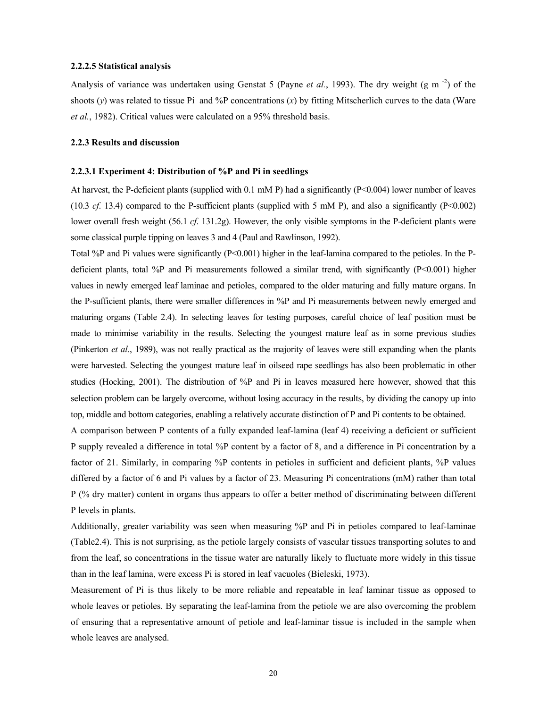#### **2.2.2.5 Statistical analysis**

Analysis of variance was undertaken using Genstat 5 (Payne *et al.*, 1993). The dry weight (g m<sup>-2</sup>) of the shoots  $(v)$  was related to tissue Pi and %P concentrations  $(x)$  by fitting Mitscherlich curves to the data (Ware *et al.*, 1982). Critical values were calculated on a 95% threshold basis.

#### **2.2.3 Results and discussion**

#### **2.2.3.1 Experiment 4: Distribution of %P and Pi in seedlings**

At harvest, the P-deficient plants (supplied with  $0.1 \text{ mM}$  P) had a significantly ( $P \le 0.004$ ) lower number of leaves (10.3 *cf.* 13.4) compared to the P-sufficient plants (supplied with 5 mM P), and also a significantly (P<0.002) lower overall fresh weight (56.1 *cf.* 131.2g). However, the only visible symptoms in the P-deficient plants were some classical purple tipping on leaves 3 and 4 (Paul and Rawlinson, 1992).

Total %P and Pi values were significantly (P<0.001) higher in the leaf-lamina compared to the petioles. In the Pdeficient plants, total %P and Pi measurements followed a similar trend, with significantly (P<0.001) higher values in newly emerged leaf laminae and petioles, compared to the older maturing and fully mature organs. In the P-sufficient plants, there were smaller differences in %P and Pi measurements between newly emerged and maturing organs (Table 2.4). In selecting leaves for testing purposes, careful choice of leaf position must be made to minimise variability in the results. Selecting the youngest mature leaf as in some previous studies (Pinkerton *et al*., 1989), was not really practical as the majority of leaves were still expanding when the plants were harvested. Selecting the youngest mature leaf in oilseed rape seedlings has also been problematic in other studies (Hocking, 2001). The distribution of %P and Pi in leaves measured here however, showed that this selection problem can be largely overcome, without losing accuracy in the results, by dividing the canopy up into top, middle and bottom categories, enabling a relatively accurate distinction of P and Pi contents to be obtained.

A comparison between P contents of a fully expanded leaf-lamina (leaf 4) receiving a deficient or sufficient P supply revealed a difference in total %P content by a factor of 8, and a difference in Pi concentration by a factor of 21. Similarly, in comparing %P contents in petioles in sufficient and deficient plants, %P values differed by a factor of 6 and Pi values by a factor of 23. Measuring Pi concentrations (mM) rather than total P (% dry matter) content in organs thus appears to offer a better method of discriminating between different P levels in plants.

Additionally, greater variability was seen when measuring %P and Pi in petioles compared to leaf-laminae (Table2.4). This is not surprising, as the petiole largely consists of vascular tissues transporting solutes to and from the leaf, so concentrations in the tissue water are naturally likely to fluctuate more widely in this tissue than in the leaf lamina, were excess Pi is stored in leaf vacuoles (Bieleski, 1973).

Measurement of Pi is thus likely to be more reliable and repeatable in leaf laminar tissue as opposed to whole leaves or petioles. By separating the leaf-lamina from the petiole we are also overcoming the problem of ensuring that a representative amount of petiole and leaf-laminar tissue is included in the sample when whole leaves are analysed.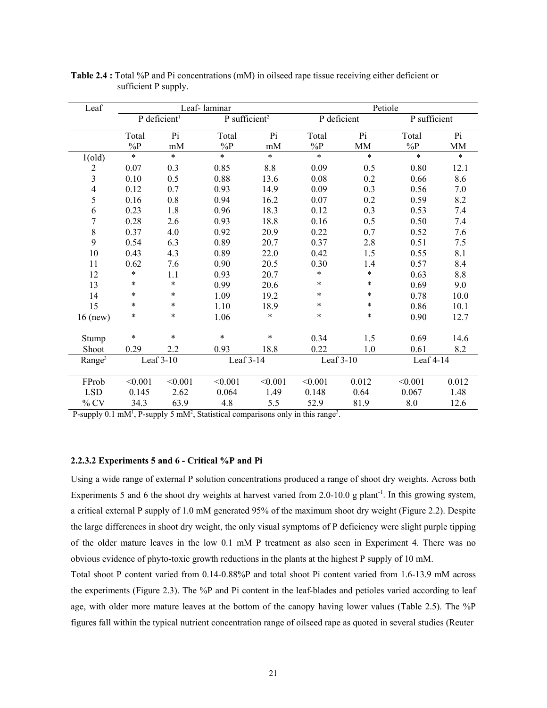| Leaf               |         |                          | Leaf-laminar              |         |           | Petiole     |              |           |  |
|--------------------|---------|--------------------------|---------------------------|---------|-----------|-------------|--------------|-----------|--|
|                    |         | P deficient <sup>1</sup> | P sufficient <sup>2</sup> |         |           | P deficient | P sufficient |           |  |
|                    | Total   | $\overline{Pi}$          | Total                     | Pi      | Total     | Pi          | Total        | Pi        |  |
|                    | $\%P$   | mM                       | $\%P$                     | mM      | $\%P$     | <b>MM</b>   | $\%P$        | <b>MM</b> |  |
| 1(old)             | $\ast$  | $\ast$                   | $\ast$                    | $\ast$  | $\ast$    | $\ast$      | $\ast$       | $\ast$    |  |
|                    | 0.07    | 0.3                      | 0.85                      | 8.8     | 0.09      | 0.5         | 0.80         | 12.1      |  |
| $\frac{2}{3}$      | 0.10    | 0.5                      | 0.88                      | 13.6    | 0.08      | 0.2         | 0.66         | 8.6       |  |
| $\overline{4}$     | 0.12    | 0.7                      | 0.93                      | 14.9    | 0.09      | 0.3         | 0.56         | 7.0       |  |
| 5                  | 0.16    | 0.8                      | 0.94                      | 16.2    | 0.07      | 0.2         | 0.59         | 8.2       |  |
| 6                  | 0.23    | 1.8                      | 0.96                      | 18.3    | 0.12      | 0.3         | 0.53         | 7.4       |  |
| $\overline{7}$     | 0.28    | 2.6                      | 0.93                      | 18.8    | 0.16      | 0.5         | 0.50         | 7.4       |  |
| 8                  | 0.37    | 4.0                      | 0.92                      | 20.9    | 0.22      | 0.7         | 0.52         | 7.6       |  |
| 9                  | 0.54    | 6.3                      | 0.89                      | 20.7    | 0.37      | 2.8         | 0.51         | 7.5       |  |
| 10                 | 0.43    | 4.3                      | 0.89                      | 22.0    | 0.42      | 1.5         | 0.55         | 8.1       |  |
| 11                 | 0.62    | 7.6                      | 0.90                      | 20.5    | 0.30      | 1.4         | 0.57         | 8.4       |  |
| 12                 | $\ast$  | 1.1                      | 0.93                      | 20.7    | *         | $\ast$      | 0.63         | 8.8       |  |
| 13                 | *       | $\ast$                   | 0.99                      | 20.6    | *         | $\ast$      | 0.69         | 9.0       |  |
| 14                 | *       | $\ast$                   | 1.09                      | 19.2    | $\ast$    | $\ast$      | 0.78         | 10.0      |  |
| 15                 | $\ast$  | *                        | 1.10                      | 18.9    | $\ast$    | $\ast$      | 0.86         | 10.1      |  |
| $16$ (new)         | *       | $\ast$                   | 1.06                      | $\ast$  | $\ast$    | $\ast$      | 0.90         | 12.7      |  |
|                    |         |                          |                           |         |           |             |              |           |  |
| Stump              | $\ast$  | $\ast$                   | $\ast$                    | $\ast$  | 0.34      | 1.5         | 0.69         | 14.6      |  |
| Shoot              | 0.29    | 2.2                      | 0.93                      | 18.8    | 0.22      | 1.0         | 0.61         | 8.2       |  |
| Range <sup>3</sup> |         | Leaf 3-10                | Leaf 3-14                 |         | Leaf 3-10 |             | Leaf 4-14    |           |  |
|                    |         |                          |                           |         |           |             |              |           |  |
| FProb              | < 0.001 | < 0.001                  | < 0.001                   | < 0.001 | < 0.001   | 0.012       | < 0.001      | 0.012     |  |
| <b>LSD</b>         | 0.145   | 2.62                     | 0.064                     | 1.49    | 0.148     | 0.64        | 0.067        | 1.48      |  |
| $%$ CV             | 34.3    | 63.9                     | 4.8                       | 5.5     | 52.9      | 81.9        | 8.0          | 12.6      |  |

**Table 2.4 :** Total %P and Pi concentrations (mM) in oilseed rape tissue receiving either deficient or sufficient P supply.

P-supply 0.1 mM<sup>1</sup>, P-supply 5 mM<sup>2</sup>, Statistical comparisons only in this range<sup>3</sup>.

#### **2.2.3.2 Experiments 5 and 6 - Critical %P and Pi**

Using a wide range of external P solution concentrations produced a range of shoot dry weights. Across both Experiments 5 and 6 the shoot dry weights at harvest varied from 2.0-10.0 g plant<sup>-1</sup>. In this growing system, a critical external P supply of 1.0 mM generated 95% of the maximum shoot dry weight (Figure 2.2). Despite the large differences in shoot dry weight, the only visual symptoms of P deficiency were slight purple tipping of the older mature leaves in the low 0.1 mM P treatment as also seen in Experiment 4. There was no obvious evidence of phyto-toxic growth reductions in the plants at the highest P supply of 10 mM.

Total shoot P content varied from 0.14-0.88%P and total shoot Pi content varied from 1.6-13.9 mM across the experiments (Figure 2.3). The %P and Pi content in the leaf-blades and petioles varied according to leaf age, with older more mature leaves at the bottom of the canopy having lower values (Table 2.5). The %P figures fall within the typical nutrient concentration range of oilseed rape as quoted in several studies (Reuter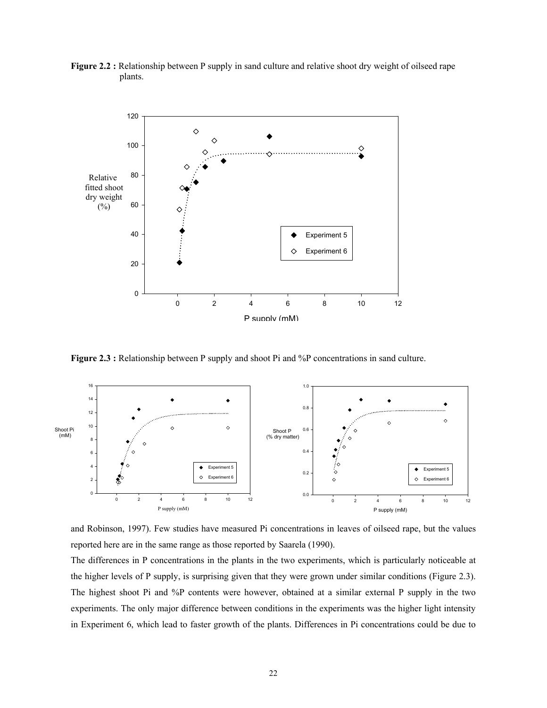



**Figure 2.3 :** Relationship between P supply and shoot Pi and %P concentrations in sand culture.



and Robinson, 1997). Few studies have measured Pi concentrations in leaves of oilseed rape, but the values reported here are in the same range as those reported by Saarela (1990).

The differences in P concentrations in the plants in the two experiments, which is particularly noticeable at the higher levels of P supply, is surprising given that they were grown under similar conditions (Figure 2.3). The highest shoot Pi and %P contents were however, obtained at a similar external P supply in the two experiments. The only major difference between conditions in the experiments was the higher light intensity in Experiment 6, which lead to faster growth of the plants. Differences in Pi concentrations could be due to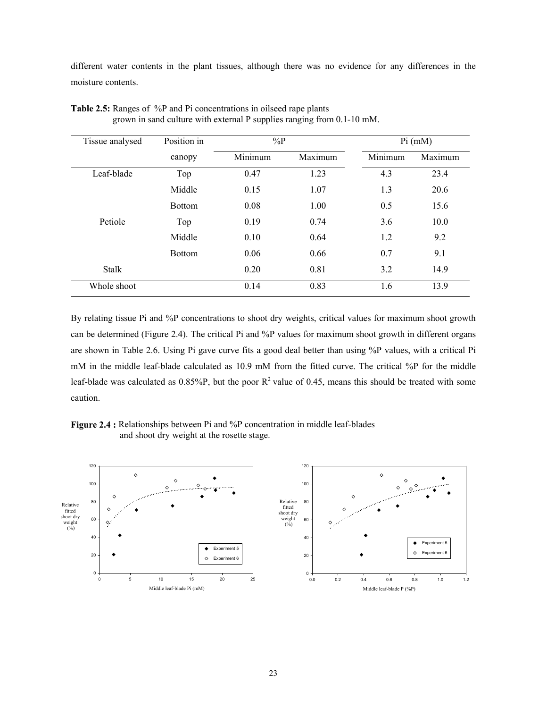different water contents in the plant tissues, although there was no evidence for any differences in the moisture contents.

| Tissue analysed | Position in   | $\%P$   |         |         | Pi (mM) |
|-----------------|---------------|---------|---------|---------|---------|
|                 | canopy        | Minimum | Maximum | Minimum | Maximum |
| Leaf-blade      | Top           | 0.47    | 1.23    | 4.3     | 23.4    |
|                 | Middle        | 0.15    | 1.07    | 1.3     | 20.6    |
|                 | <b>Bottom</b> | 0.08    | 1.00    | 0.5     | 15.6    |
| Petiole         | Top           | 0.19    | 0.74    | 3.6     | 10.0    |
|                 | Middle        | 0.10    | 0.64    | 1.2     | 9.2     |
|                 | <b>Bottom</b> | 0.06    | 0.66    | 0.7     | 9.1     |
| <b>Stalk</b>    |               | 0.20    | 0.81    | 3.2     | 14.9    |
| Whole shoot     |               | 0.14    | 0.83    | 1.6     | 13.9    |

**Table 2.5:** Ranges of %P and Pi concentrations in oilseed rape plants grown in sand culture with external P supplies ranging from 0.1-10 mM.

By relating tissue Pi and %P concentrations to shoot dry weights, critical values for maximum shoot growth can be determined (Figure 2.4). The critical Pi and %P values for maximum shoot growth in different organs are shown in Table 2.6. Using Pi gave curve fits a good deal better than using %P values, with a critical Pi mM in the middle leaf-blade calculated as 10.9 mM from the fitted curve. The critical %P for the middle leaf-blade was calculated as  $0.85\%$ P, but the poor R<sup>2</sup> value of 0.45, means this should be treated with some caution.



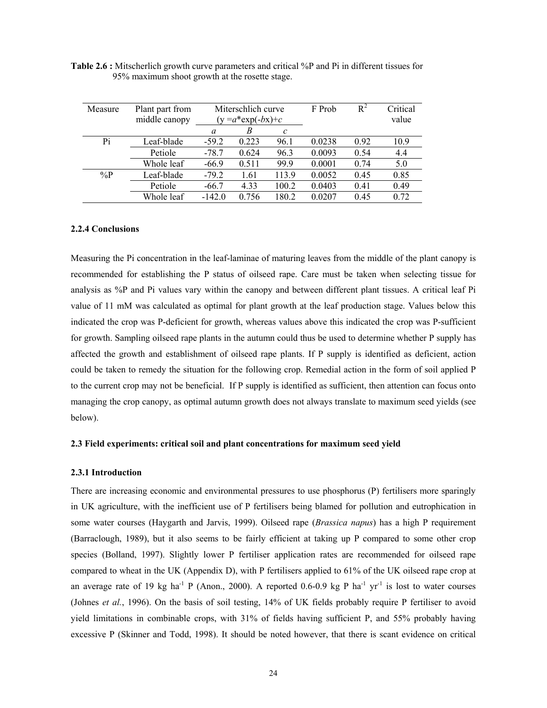| Measure | Plant part from | Miterschlich curve |                              |              | F Prob | $R^2$ | Critical |
|---------|-----------------|--------------------|------------------------------|--------------|--------|-------|----------|
|         | middle canopy   |                    | $(y = a \cdot \exp(-bx) + c$ |              |        |       | value    |
|         |                 | a                  | B                            | $\mathcal C$ |        |       |          |
| Pi      | Leaf-blade      | $-59.2$            | 0.223                        | 96.1         | 0.0238 | 0.92  | 10.9     |
|         | Petiole         | $-78.7$            | 0.624                        | 96.3         | 0.0093 | 0.54  | 4.4      |
|         | Whole leaf      | $-66.9$            | 0.511                        | 99.9         | 0.0001 | 0.74  | 5.0      |
| $\%P$   | Leaf-blade      | $-79.2$            | 1.61                         | 113.9        | 0.0052 | 0.45  | 0.85     |
|         | Petiole         | $-66.7$            | 4.33<br>100.2                |              | 0.0403 | 0.41  | 0.49     |
|         | Whole leaf      | $-142.0$           | 0.756                        | 180.2        | 0.0207 | 0.45  | 0.72     |

**Table 2.6 :** Mitscherlich growth curve parameters and critical %P and Pi in different tissues for 95% maximum shoot growth at the rosette stage.

#### **2.2.4 Conclusions**

Measuring the Pi concentration in the leaf-laminae of maturing leaves from the middle of the plant canopy is recommended for establishing the P status of oilseed rape. Care must be taken when selecting tissue for analysis as %P and Pi values vary within the canopy and between different plant tissues. A critical leaf Pi value of 11 mM was calculated as optimal for plant growth at the leaf production stage. Values below this indicated the crop was P-deficient for growth, whereas values above this indicated the crop was P-sufficient for growth. Sampling oilseed rape plants in the autumn could thus be used to determine whether P supply has affected the growth and establishment of oilseed rape plants. If P supply is identified as deficient, action could be taken to remedy the situation for the following crop. Remedial action in the form of soil applied P to the current crop may not be beneficial. If P supply is identified as sufficient, then attention can focus onto managing the crop canopy, as optimal autumn growth does not always translate to maximum seed yields (see below).

#### **2.3 Field experiments: critical soil and plant concentrations for maximum seed yield**

#### **2.3.1 Introduction**

There are increasing economic and environmental pressures to use phosphorus (P) fertilisers more sparingly in UK agriculture, with the inefficient use of P fertilisers being blamed for pollution and eutrophication in some water courses (Haygarth and Jarvis, 1999). Oilseed rape (*Brassica napus*) has a high P requirement (Barraclough, 1989), but it also seems to be fairly efficient at taking up P compared to some other crop species (Bolland, 1997). Slightly lower P fertiliser application rates are recommended for oilseed rape compared to wheat in the UK (Appendix D), with P fertilisers applied to 61% of the UK oilseed rape crop at an average rate of 19 kg ha<sup>-1</sup> P (Anon., 2000). A reported 0.6-0.9 kg P ha<sup>-1</sup> yr<sup>-1</sup> is lost to water courses (Johnes *et al.*, 1996). On the basis of soil testing, 14% of UK fields probably require P fertiliser to avoid yield limitations in combinable crops, with 31% of fields having sufficient P, and 55% probably having excessive P (Skinner and Todd, 1998). It should be noted however, that there is scant evidence on critical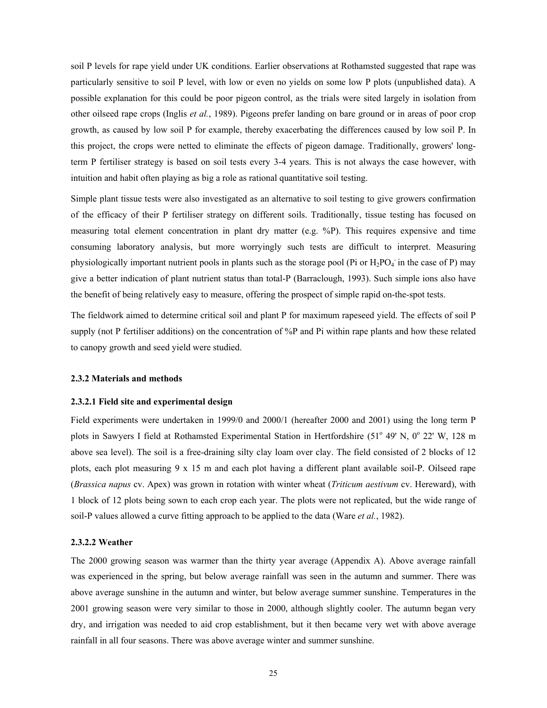soil P levels for rape yield under UK conditions. Earlier observations at Rothamsted suggested that rape was particularly sensitive to soil P level, with low or even no yields on some low P plots (unpublished data). A possible explanation for this could be poor pigeon control, as the trials were sited largely in isolation from other oilseed rape crops (Inglis *et al.*, 1989). Pigeons prefer landing on bare ground or in areas of poor crop growth, as caused by low soil P for example, thereby exacerbating the differences caused by low soil P. In this project, the crops were netted to eliminate the effects of pigeon damage. Traditionally, growers' longterm P fertiliser strategy is based on soil tests every 3-4 years. This is not always the case however, with intuition and habit often playing as big a role as rational quantitative soil testing.

Simple plant tissue tests were also investigated as an alternative to soil testing to give growers confirmation of the efficacy of their P fertiliser strategy on different soils. Traditionally, tissue testing has focused on measuring total element concentration in plant dry matter (e.g. %P). This requires expensive and time consuming laboratory analysis, but more worryingly such tests are difficult to interpret. Measuring physiologically important nutrient pools in plants such as the storage pool (Pi or  $H_2PO_4$  in the case of P) may give a better indication of plant nutrient status than total-P (Barraclough, 1993). Such simple ions also have the benefit of being relatively easy to measure, offering the prospect of simple rapid on-the-spot tests.

The fieldwork aimed to determine critical soil and plant P for maximum rapeseed yield. The effects of soil P supply (not P fertiliser additions) on the concentration of %P and Pi within rape plants and how these related to canopy growth and seed yield were studied.

#### **2.3.2 Materials and methods**

#### **2.3.2.1 Field site and experimental design**

Field experiments were undertaken in 1999/0 and 2000/1 (hereafter 2000 and 2001) using the long term P plots in Sawyers I field at Rothamsted Experimental Station in Hertfordshire (51° 49' N, 0° 22' W, 128 m above sea level). The soil is a free-draining silty clay loam over clay. The field consisted of 2 blocks of 12 plots, each plot measuring 9 x 15 m and each plot having a different plant available soil-P. Oilseed rape (*Brassica napus* cv. Apex) was grown in rotation with winter wheat (*Triticum aestivum* cv. Hereward), with 1 block of 12 plots being sown to each crop each year. The plots were not replicated, but the wide range of soil-P values allowed a curve fitting approach to be applied to the data (Ware *et al.*, 1982).

#### **2.3.2.2 Weather**

The 2000 growing season was warmer than the thirty year average (Appendix A). Above average rainfall was experienced in the spring, but below average rainfall was seen in the autumn and summer. There was above average sunshine in the autumn and winter, but below average summer sunshine. Temperatures in the 2001 growing season were very similar to those in 2000, although slightly cooler. The autumn began very dry, and irrigation was needed to aid crop establishment, but it then became very wet with above average rainfall in all four seasons. There was above average winter and summer sunshine.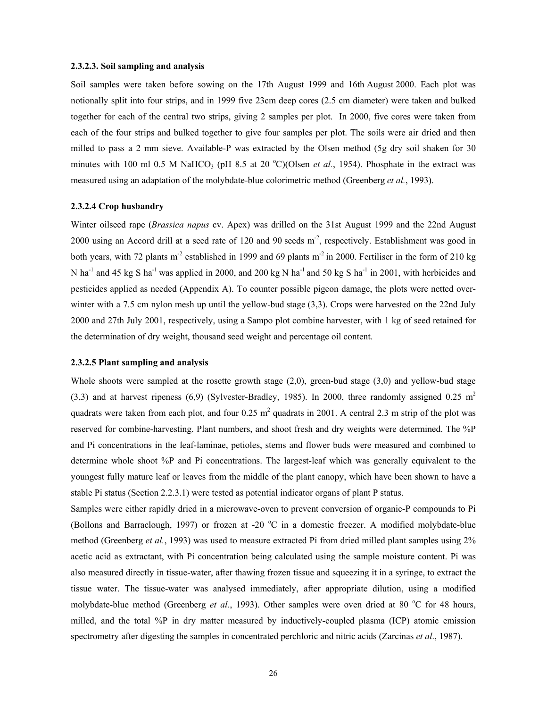#### **2.3.2.3. Soil sampling and analysis**

Soil samples were taken before sowing on the 17th August 1999 and 16th August 2000. Each plot was notionally split into four strips, and in 1999 five 23cm deep cores (2.5 cm diameter) were taken and bulked together for each of the central two strips, giving 2 samples per plot. In 2000, five cores were taken from each of the four strips and bulked together to give four samples per plot. The soils were air dried and then milled to pass a 2 mm sieve. Available-P was extracted by the Olsen method (5g dry soil shaken for 30 minutes with 100 ml 0.5 M NaHCO<sub>3</sub> (pH 8.5 at 20 °C)(Olsen *et al.*, 1954). Phosphate in the extract was measured using an adaptation of the molybdate-blue colorimetric method (Greenberg *et al.*, 1993).

#### **2.3.2.4 Crop husbandry**

Winter oilseed rape (*Brassica napus* cv. Apex) was drilled on the 31st August 1999 and the 22nd August 2000 using an Accord drill at a seed rate of 120 and 90 seeds  $m<sup>-2</sup>$ , respectively. Establishment was good in both years, with 72 plants m<sup>-2</sup> established in 1999 and 69 plants m<sup>-2</sup> in 2000. Fertiliser in the form of 210 kg N ha<sup>-1</sup> and 45 kg S ha<sup>-1</sup> was applied in 2000, and 200 kg N ha<sup>-1</sup> and 50 kg S ha<sup>-1</sup> in 2001, with herbicides and pesticides applied as needed (Appendix A). To counter possible pigeon damage, the plots were netted overwinter with a 7.5 cm nylon mesh up until the yellow-bud stage (3,3). Crops were harvested on the 22nd July 2000 and 27th July 2001, respectively, using a Sampo plot combine harvester, with 1 kg of seed retained for the determination of dry weight, thousand seed weight and percentage oil content.

#### **2.3.2.5 Plant sampling and analysis**

Whole shoots were sampled at the rosette growth stage (2,0), green-bud stage (3,0) and yellow-bud stage (3,3) and at harvest ripeness (6,9) (Sylvester-Bradley, 1985). In 2000, three randomly assigned 0.25 m<sup>2</sup> quadrats were taken from each plot, and four  $0.25 \text{ m}^2$  quadrats in 2001. A central 2.3 m strip of the plot was reserved for combine-harvesting. Plant numbers, and shoot fresh and dry weights were determined. The %P and Pi concentrations in the leaf-laminae, petioles, stems and flower buds were measured and combined to determine whole shoot %P and Pi concentrations. The largest-leaf which was generally equivalent to the youngest fully mature leaf or leaves from the middle of the plant canopy, which have been shown to have a stable Pi status (Section 2.2.3.1) were tested as potential indicator organs of plant P status.

Samples were either rapidly dried in a microwave-oven to prevent conversion of organic-P compounds to Pi (Bollons and Barraclough, 1997) or frozen at -20 °C in a domestic freezer. A modified molybdate-blue method (Greenberg *et al.*, 1993) was used to measure extracted Pi from dried milled plant samples using 2% acetic acid as extractant, with Pi concentration being calculated using the sample moisture content. Pi was also measured directly in tissue-water, after thawing frozen tissue and squeezing it in a syringe, to extract the tissue water. The tissue-water was analysed immediately, after appropriate dilution, using a modified molybdate-blue method (Greenberg *et al.*, 1993). Other samples were oven dried at 80 °C for 48 hours, milled, and the total %P in dry matter measured by inductively-coupled plasma (ICP) atomic emission spectrometry after digesting the samples in concentrated perchloric and nitric acids (Zarcinas *et al*., 1987).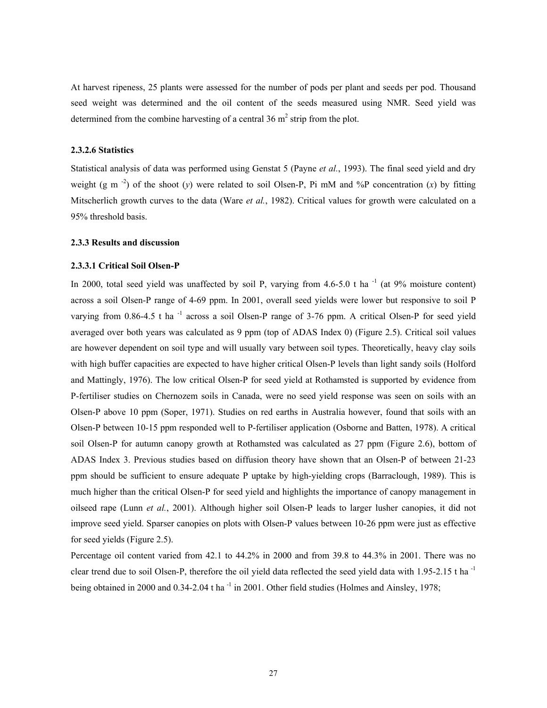At harvest ripeness, 25 plants were assessed for the number of pods per plant and seeds per pod. Thousand seed weight was determined and the oil content of the seeds measured using NMR. Seed yield was determined from the combine harvesting of a central  $36 \text{ m}^2$  strip from the plot.

#### **2.3.2.6 Statistics**

Statistical analysis of data was performed using Genstat 5 (Payne *et al.*, 1993). The final seed yield and dry weight (g m<sup>-2</sup>) of the shoot (*y*) were related to soil Olsen-P, Pi mM and %P concentration (*x*) by fitting Mitscherlich growth curves to the data (Ware *et al.*, 1982). Critical values for growth were calculated on a 95% threshold basis.

#### **2.3.3 Results and discussion**

#### **2.3.3.1 Critical Soil Olsen-P**

In 2000, total seed yield was unaffected by soil P, varying from  $4.6-5.0$  t ha<sup>-1</sup> (at 9% moisture content) across a soil Olsen-P range of 4-69 ppm. In 2001, overall seed yields were lower but responsive to soil P varying from  $0.86-4.5$  t ha<sup>-1</sup> across a soil Olsen-P range of  $3-76$  ppm. A critical Olsen-P for seed yield averaged over both years was calculated as 9 ppm (top of ADAS Index 0) (Figure 2.5). Critical soil values are however dependent on soil type and will usually vary between soil types. Theoretically, heavy clay soils with high buffer capacities are expected to have higher critical Olsen-P levels than light sandy soils (Holford and Mattingly, 1976). The low critical Olsen-P for seed yield at Rothamsted is supported by evidence from P-fertiliser studies on Chernozem soils in Canada, were no seed yield response was seen on soils with an Olsen-P above 10 ppm (Soper, 1971). Studies on red earths in Australia however, found that soils with an Olsen-P between 10-15 ppm responded well to P-fertiliser application (Osborne and Batten, 1978). A critical soil Olsen-P for autumn canopy growth at Rothamsted was calculated as 27 ppm (Figure 2.6), bottom of ADAS Index 3. Previous studies based on diffusion theory have shown that an Olsen-P of between 21-23 ppm should be sufficient to ensure adequate P uptake by high-yielding crops (Barraclough, 1989). This is much higher than the critical Olsen-P for seed yield and highlights the importance of canopy management in oilseed rape (Lunn *et al.*, 2001). Although higher soil Olsen-P leads to larger lusher canopies, it did not improve seed yield. Sparser canopies on plots with Olsen-P values between 10-26 ppm were just as effective for seed yields (Figure 2.5).

Percentage oil content varied from 42.1 to 44.2% in 2000 and from 39.8 to 44.3% in 2001. There was no clear trend due to soil Olsen-P, therefore the oil yield data reflected the seed yield data with 1.95-2.15 t ha<sup>-1</sup> being obtained in 2000 and 0.34-2.04 t ha<sup>-1</sup> in 2001. Other field studies (Holmes and Ainsley, 1978;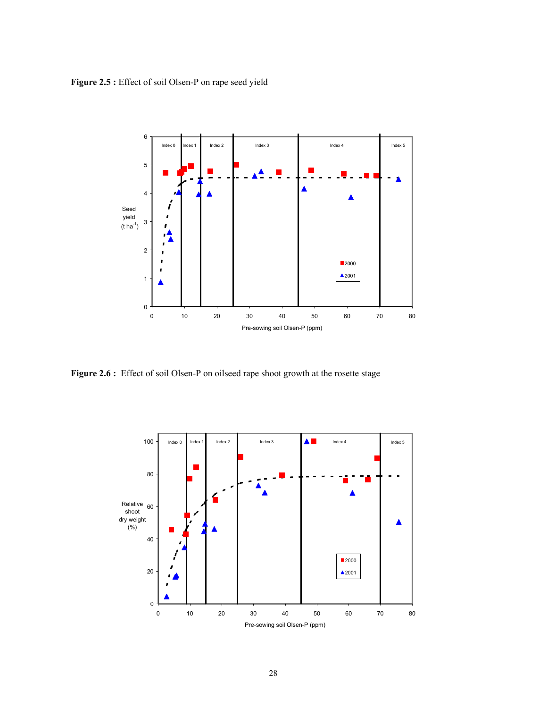**Figure 2.5 :** Effect of soil Olsen-P on rape seed yield

![](_page_30_Figure_1.jpeg)

Figure 2.6 : Effect of soil Olsen-P on oilseed rape shoot growth at the rosette stage

![](_page_30_Figure_3.jpeg)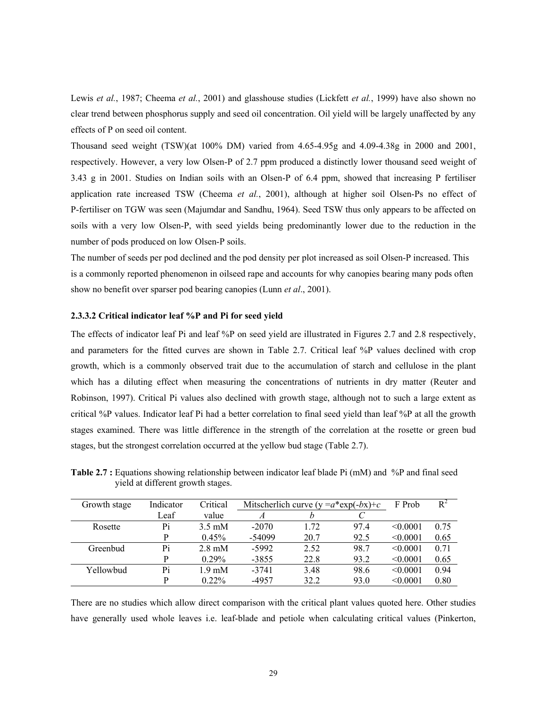Lewis *et al.*, 1987; Cheema *et al.*, 2001) and glasshouse studies (Lickfett *et al.*, 1999) have also shown no clear trend between phosphorus supply and seed oil concentration. Oil yield will be largely unaffected by any effects of P on seed oil content.

Thousand seed weight (TSW)(at 100% DM) varied from 4.65-4.95g and 4.09-4.38g in 2000 and 2001, respectively. However, a very low Olsen-P of 2.7 ppm produced a distinctly lower thousand seed weight of 3.43 g in 2001. Studies on Indian soils with an Olsen-P of 6.4 ppm, showed that increasing P fertiliser application rate increased TSW (Cheema *et al.*, 2001), although at higher soil Olsen-Ps no effect of P-fertiliser on TGW was seen (Majumdar and Sandhu, 1964). Seed TSW thus only appears to be affected on soils with a very low Olsen-P, with seed yields being predominantly lower due to the reduction in the number of pods produced on low Olsen-P soils.

The number of seeds per pod declined and the pod density per plot increased as soil Olsen-P increased. This is a commonly reported phenomenon in oilseed rape and accounts for why canopies bearing many pods often show no benefit over sparser pod bearing canopies (Lunn *et al*., 2001).

#### **2.3.3.2 Critical indicator leaf %P and Pi for seed yield**

The effects of indicator leaf Pi and leaf %P on seed yield are illustrated in Figures 2.7 and 2.8 respectively, and parameters for the fitted curves are shown in Table 2.7. Critical leaf %P values declined with crop growth, which is a commonly observed trait due to the accumulation of starch and cellulose in the plant which has a diluting effect when measuring the concentrations of nutrients in dry matter (Reuter and Robinson, 1997). Critical Pi values also declined with growth stage, although not to such a large extent as critical %P values. Indicator leaf Pi had a better correlation to final seed yield than leaf %P at all the growth stages examined. There was little difference in the strength of the correlation at the rosette or green bud stages, but the strongest correlation occurred at the yellow bud stage (Table 2.7).

| Growth stage | Indicator | Critical         | Mitscherlich curve ( $y = a*exp(-bx)+c$ |      |      | F Prob   | $R^2$ |
|--------------|-----------|------------------|-----------------------------------------|------|------|----------|-------|
|              | Leaf      | value            |                                         | h    |      |          |       |
| Rosette      | Pi        | $3.5 \text{ mM}$ | $-2070$                                 | 1 72 | 97.4 | < 0.0001 | 0.75  |
|              | P         | 0.45%            | $-54099$                                | 20.7 | 92.5 | < 0.0001 | 0.65  |
| Greenbud     | Pi        | $2.8 \text{ mM}$ | $-5992$                                 | 2.52 | 98.7 | < 0.0001 | 0.71  |
|              | P         | 0.29%            | $-3855$                                 | 22.8 | 93.2 | < 0.0001 | 0.65  |
| Yellowbud    | Pi        | $1.9 \text{ mM}$ | $-3741$                                 | 3.48 | 98.6 | < 0.0001 | 0.94  |
|              | p         | $0.22\%$         | -4957                                   | 32.2 | 93.0 | < 0.0001 | 0.80  |

**Table 2.7 :** Equations showing relationship between indicator leaf blade Pi (mM) and %P and final seed yield at different growth stages.

There are no studies which allow direct comparison with the critical plant values quoted here. Other studies have generally used whole leaves i.e. leaf-blade and petiole when calculating critical values (Pinkerton,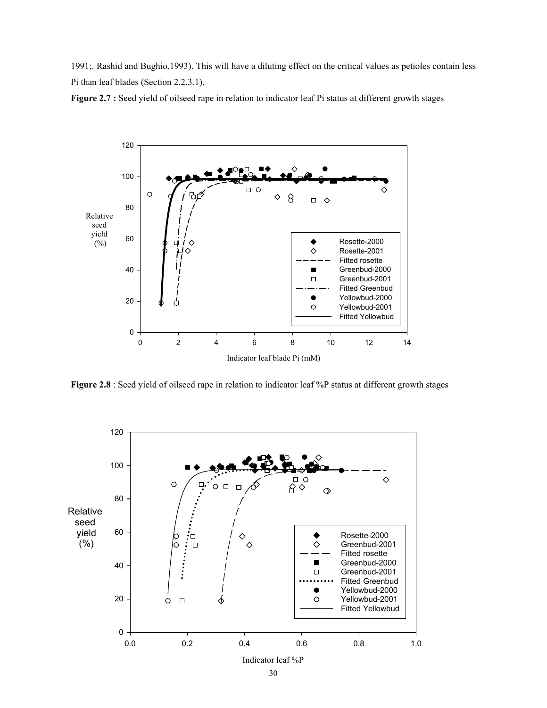1991;. Rashid and Bughio,1993). This will have a diluting effect on the critical values as petioles contain less Pi than leaf blades (Section 2.2.3.1).

![](_page_32_Figure_1.jpeg)

![](_page_32_Figure_2.jpeg)

**Figure 2.8** : Seed yield of oilseed rape in relation to indicator leaf %P status at different growth stages

![](_page_32_Figure_4.jpeg)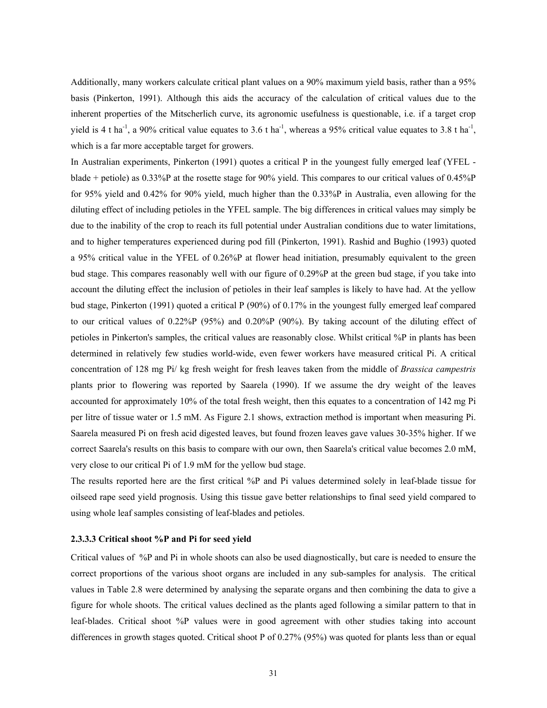Additionally, many workers calculate critical plant values on a 90% maximum yield basis, rather than a 95% basis (Pinkerton, 1991). Although this aids the accuracy of the calculation of critical values due to the inherent properties of the Mitscherlich curve, its agronomic usefulness is questionable, i.e. if a target crop yield is 4 t ha<sup>-1</sup>, a 90% critical value equates to 3.6 t ha<sup>-1</sup>, whereas a 95% critical value equates to 3.8 t ha<sup>-1</sup>, which is a far more acceptable target for growers.

In Australian experiments, Pinkerton (1991) quotes a critical P in the youngest fully emerged leaf (YFEL blade + petiole) as 0.33%P at the rosette stage for 90% yield. This compares to our critical values of 0.45%P for 95% yield and 0.42% for 90% yield, much higher than the 0.33%P in Australia, even allowing for the diluting effect of including petioles in the YFEL sample. The big differences in critical values may simply be due to the inability of the crop to reach its full potential under Australian conditions due to water limitations, and to higher temperatures experienced during pod fill (Pinkerton, 1991). Rashid and Bughio (1993) quoted a 95% critical value in the YFEL of 0.26%P at flower head initiation, presumably equivalent to the green bud stage. This compares reasonably well with our figure of 0.29%P at the green bud stage, if you take into account the diluting effect the inclusion of petioles in their leaf samples is likely to have had. At the yellow bud stage, Pinkerton (1991) quoted a critical P (90%) of 0.17% in the youngest fully emerged leaf compared to our critical values of 0.22%P (95%) and 0.20%P (90%). By taking account of the diluting effect of petioles in Pinkerton's samples, the critical values are reasonably close. Whilst critical %P in plants has been determined in relatively few studies world-wide, even fewer workers have measured critical Pi. A critical concentration of 128 mg Pi/ kg fresh weight for fresh leaves taken from the middle of *Brassica campestris* plants prior to flowering was reported by Saarela (1990). If we assume the dry weight of the leaves accounted for approximately 10% of the total fresh weight, then this equates to a concentration of 142 mg Pi per litre of tissue water or 1.5 mM. As Figure 2.1 shows, extraction method is important when measuring Pi. Saarela measured Pi on fresh acid digested leaves, but found frozen leaves gave values 30-35% higher. If we correct Saarela's results on this basis to compare with our own, then Saarela's critical value becomes 2.0 mM, very close to our critical Pi of 1.9 mM for the yellow bud stage.

The results reported here are the first critical %P and Pi values determined solely in leaf-blade tissue for oilseed rape seed yield prognosis. Using this tissue gave better relationships to final seed yield compared to using whole leaf samples consisting of leaf-blades and petioles.

#### **2.3.3.3 Critical shoot %P and Pi for seed yield**

Critical values of %P and Pi in whole shoots can also be used diagnostically, but care is needed to ensure the correct proportions of the various shoot organs are included in any sub-samples for analysis. The critical values in Table 2.8 were determined by analysing the separate organs and then combining the data to give a figure for whole shoots. The critical values declined as the plants aged following a similar pattern to that in leaf-blades. Critical shoot %P values were in good agreement with other studies taking into account differences in growth stages quoted. Critical shoot P of 0.27% (95%) was quoted for plants less than or equal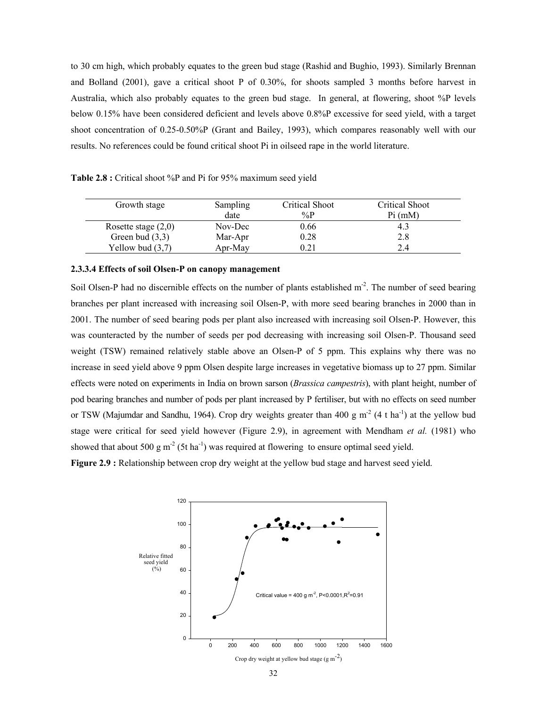to 30 cm high, which probably equates to the green bud stage (Rashid and Bughio, 1993). Similarly Brennan and Bolland (2001), gave a critical shoot P of 0.30%, for shoots sampled 3 months before harvest in Australia, which also probably equates to the green bud stage. In general, at flowering, shoot %P levels below 0.15% have been considered deficient and levels above 0.8%P excessive for seed yield, with a target shoot concentration of 0.25-0.50%P (Grant and Bailey, 1993), which compares reasonably well with our results. No references could be found critical shoot Pi in oilseed rape in the world literature.

**Table 2.8 :** Critical shoot %P and Pi for 95% maximum seed yield

| Growth stage          | Sampling | Critical Shoot | Critical Shoot |
|-----------------------|----------|----------------|----------------|
|                       | date     | $\%P$          | Pi (mM)        |
| Rosette stage $(2,0)$ | Nov-Dec  | 0.66           | -4.5           |
| Green bud $(3,3)$     | Mar-Apr  | 0.28           | 2.8            |
| Yellow bud $(3,7)$    | Apr-May  | 0.21           | 2.4            |

#### **2.3.3.4 Effects of soil Olsen-P on canopy management**

Soil Olsen-P had no discernible effects on the number of plants established  $m<sup>2</sup>$ . The number of seed bearing branches per plant increased with increasing soil Olsen-P, with more seed bearing branches in 2000 than in 2001. The number of seed bearing pods per plant also increased with increasing soil Olsen-P. However, this was counteracted by the number of seeds per pod decreasing with increasing soil Olsen-P. Thousand seed weight (TSW) remained relatively stable above an Olsen-P of 5 ppm. This explains why there was no increase in seed yield above 9 ppm Olsen despite large increases in vegetative biomass up to 27 ppm. Similar effects were noted on experiments in India on brown sarson (*Brassica campestris*), with plant height, number of pod bearing branches and number of pods per plant increased by P fertiliser, but with no effects on seed number or TSW (Majumdar and Sandhu, 1964). Crop dry weights greater than 400 g  $m<sup>2</sup>$  (4 t ha<sup>-1</sup>) at the yellow bud stage were critical for seed yield however (Figure 2.9), in agreement with Mendham *et al.* (1981) who showed that about 500 g  $m^2$  (5t ha<sup>-1</sup>) was required at flowering to ensure optimal seed yield.

**Figure 2.9 :** Relationship between crop dry weight at the yellow bud stage and harvest seed yield.

![](_page_34_Figure_6.jpeg)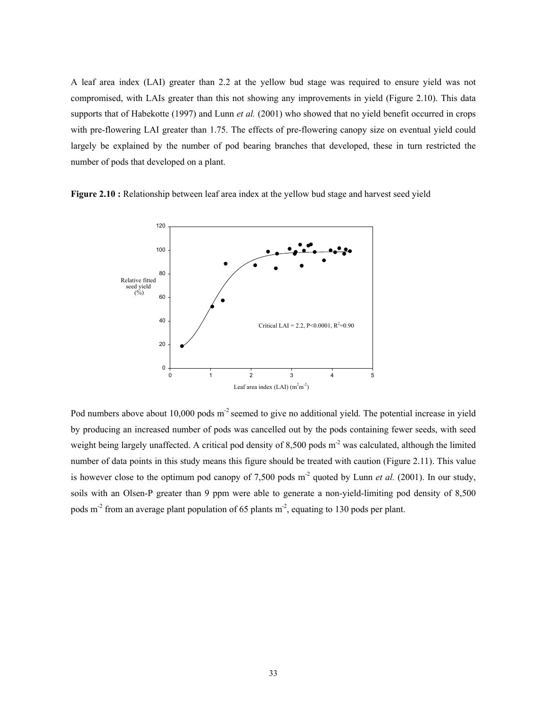A leaf area index (LAI) greater than 2.2 at the yellow bud stage was required to ensure yield was not compromised, with LAIs greater than this not showing any improvements in yield (Figure 2.10). This data supports that of Habekotte (1997) and Lunn *et al.* (2001) who showed that no yield benefit occurred in crops with pre-flowering LAI greater than 1.75. The effects of pre-flowering canopy size on eventual yield could largely be explained by the number of pod bearing branches that developed, these in turn restricted the number of pods that developed on a plant.

**Figure 2.10 :** Relationship between leaf area index at the yellow bud stage and harvest seed yield

![](_page_35_Figure_2.jpeg)

Pod numbers above about 10,000 pods  $m<sup>2</sup>$  seemed to give no additional yield. The potential increase in yield by producing an increased number of pods was cancelled out by the pods containing fewer seeds, with seed weight being largely unaffected. A critical pod density of  $8,500$  pods m<sup>-2</sup> was calculated, although the limited number of data points in this study means this figure should be treated with caution (Figure 2.11). This value is however close to the optimum pod canopy of 7,500 pods  $m<sup>2</sup>$  quoted by Lunn *et al.* (2001). In our study, soils with an Olsen-P greater than 9 ppm were able to generate a non-yield-limiting pod density of 8,500 pods m<sup>-2</sup> from an average plant population of 65 plants m<sup>-2</sup>, equating to 130 pods per plant.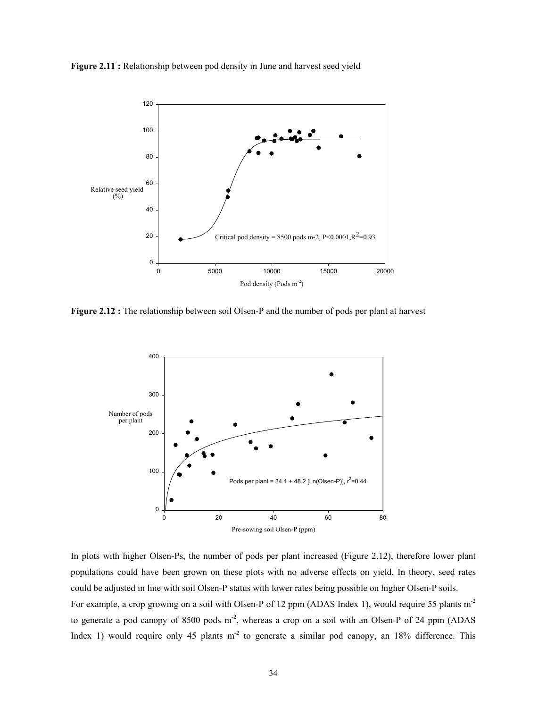**Figure 2.11 :** Relationship between pod density in June and harvest seed yield

![](_page_36_Figure_1.jpeg)

**Figure 2.12 :** The relationship between soil Olsen-P and the number of pods per plant at harvest

![](_page_36_Figure_3.jpeg)

In plots with higher Olsen-Ps, the number of pods per plant increased (Figure 2.12), therefore lower plant populations could have been grown on these plots with no adverse effects on yield. In theory, seed rates could be adjusted in line with soil Olsen-P status with lower rates being possible on higher Olsen-P soils. For example, a crop growing on a soil with Olsen-P of 12 ppm (ADAS Index 1), would require 55 plants m<sup>-2</sup> to generate a pod canopy of 8500 pods  $m<sup>2</sup>$ , whereas a crop on a soil with an Olsen-P of 24 ppm (ADAS Index 1) would require only 45 plants  $m<sup>2</sup>$  to generate a similar pod canopy, an 18% difference. This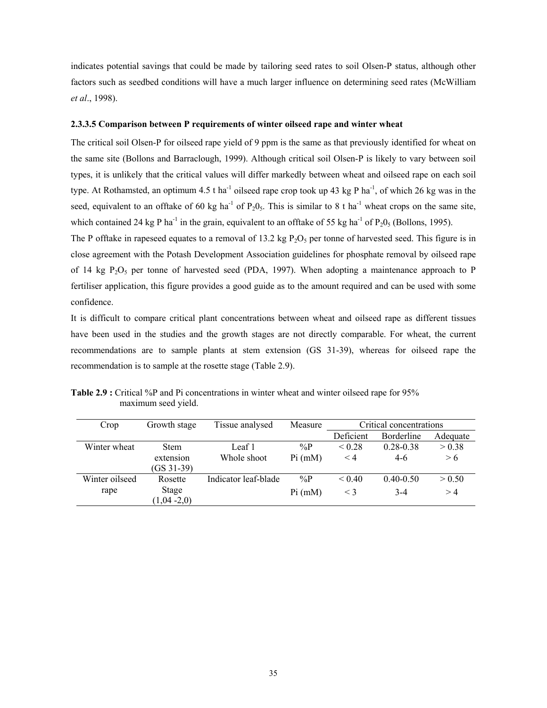indicates potential savings that could be made by tailoring seed rates to soil Olsen-P status, although other factors such as seedbed conditions will have a much larger influence on determining seed rates (McWilliam *et al*., 1998).

#### **2.3.3.5 Comparison between P requirements of winter oilseed rape and winter wheat**

The critical soil Olsen-P for oilseed rape yield of 9 ppm is the same as that previously identified for wheat on the same site (Bollons and Barraclough, 1999). Although critical soil Olsen-P is likely to vary between soil types, it is unlikely that the critical values will differ markedly between wheat and oilseed rape on each soil type. At Rothamsted, an optimum 4.5 t ha<sup>-1</sup> oilseed rape crop took up 43 kg P ha<sup>-1</sup>, of which 26 kg was in the seed, equivalent to an offtake of 60 kg ha<sup>-1</sup> of  $P_20_5$ . This is similar to 8 t ha<sup>-1</sup> wheat crops on the same site, which contained 24 kg P ha<sup>-1</sup> in the grain, equivalent to an offtake of 55 kg ha<sup>-1</sup> of P<sub>2</sub>0<sub>5</sub> (Bollons, 1995).

The P offtake in rapeseed equates to a removal of 13.2 kg  $P_2O_5$  per tonne of harvested seed. This figure is in close agreement with the Potash Development Association guidelines for phosphate removal by oilseed rape of 14 kg  $P_2O_5$  per tonne of harvested seed (PDA, 1997). When adopting a maintenance approach to P fertiliser application, this figure provides a good guide as to the amount required and can be used with some confidence.

It is difficult to compare critical plant concentrations between wheat and oilseed rape as different tissues have been used in the studies and the growth stages are not directly comparable. For wheat, the current recommendations are to sample plants at stem extension (GS 31-39), whereas for oilseed rape the recommendation is to sample at the rosette stage (Table 2.9).

| Crop           | Growth stage               | Tissue analysed      | Measure | Critical concentrations |                   |          |
|----------------|----------------------------|----------------------|---------|-------------------------|-------------------|----------|
|                |                            |                      |         | Deficient               | <b>Borderline</b> | Adequate |
| Winter wheat   | <b>Stem</b>                | Leaf 1               | $\%P$   | ${}_{0.28}$             | $0.28 - 0.38$     | > 0.38   |
|                | extension<br>$(GS\,31-39)$ | Whole shoot          | Pi (mM) | $\leq 4$                | $4-6$             | > 6      |
| Winter oilseed | Rosette                    | Indicator leaf-blade | $\%P$   | < 0.40                  | $0.40 - 0.50$     | > 0.50   |
| rape           | Stage<br>$(1,04-2,0)$      |                      | Pi (mM) | $\leq$ 3                | $3-4$             | >4       |

**Table 2.9 :** Critical %P and Pi concentrations in winter wheat and winter oilseed rape for 95% maximum seed yield.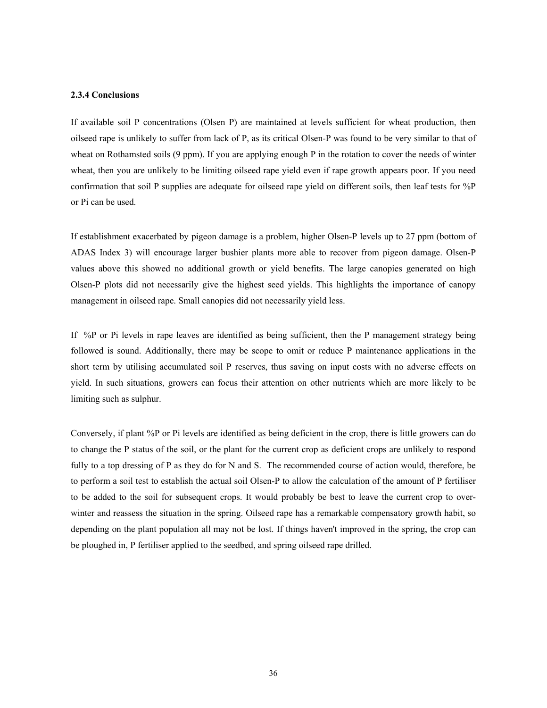#### **2.3.4 Conclusions**

If available soil P concentrations (Olsen P) are maintained at levels sufficient for wheat production, then oilseed rape is unlikely to suffer from lack of P, as its critical Olsen-P was found to be very similar to that of wheat on Rothamsted soils (9 ppm). If you are applying enough P in the rotation to cover the needs of winter wheat, then you are unlikely to be limiting oilseed rape yield even if rape growth appears poor. If you need confirmation that soil P supplies are adequate for oilseed rape yield on different soils, then leaf tests for %P or Pi can be used.

If establishment exacerbated by pigeon damage is a problem, higher Olsen-P levels up to 27 ppm (bottom of ADAS Index 3) will encourage larger bushier plants more able to recover from pigeon damage. Olsen-P values above this showed no additional growth or yield benefits. The large canopies generated on high Olsen-P plots did not necessarily give the highest seed yields. This highlights the importance of canopy management in oilseed rape. Small canopies did not necessarily yield less.

If %P or Pi levels in rape leaves are identified as being sufficient, then the P management strategy being followed is sound. Additionally, there may be scope to omit or reduce P maintenance applications in the short term by utilising accumulated soil P reserves, thus saving on input costs with no adverse effects on yield. In such situations, growers can focus their attention on other nutrients which are more likely to be limiting such as sulphur.

Conversely, if plant %P or Pi levels are identified as being deficient in the crop, there is little growers can do to change the P status of the soil, or the plant for the current crop as deficient crops are unlikely to respond fully to a top dressing of P as they do for N and S. The recommended course of action would, therefore, be to perform a soil test to establish the actual soil Olsen-P to allow the calculation of the amount of P fertiliser to be added to the soil for subsequent crops. It would probably be best to leave the current crop to overwinter and reassess the situation in the spring. Oilseed rape has a remarkable compensatory growth habit, so depending on the plant population all may not be lost. If things haven't improved in the spring, the crop can be ploughed in, P fertiliser applied to the seedbed, and spring oilseed rape drilled.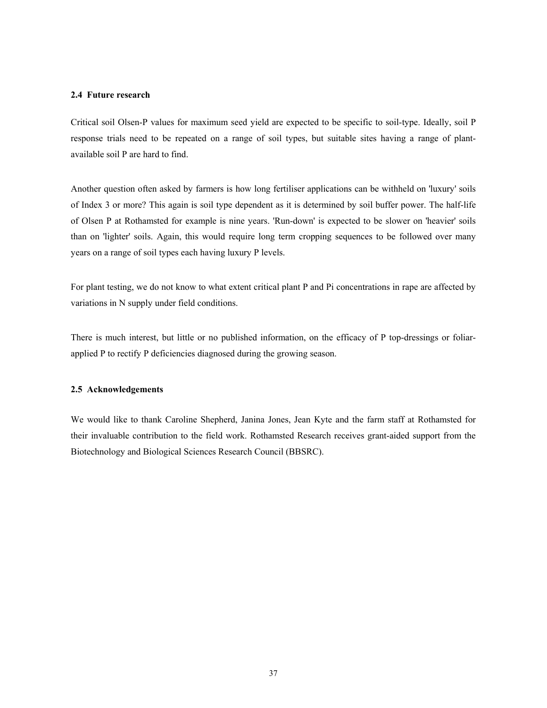#### **2.4 Future research**

Critical soil Olsen-P values for maximum seed yield are expected to be specific to soil-type. Ideally, soil P response trials need to be repeated on a range of soil types, but suitable sites having a range of plantavailable soil P are hard to find.

Another question often asked by farmers is how long fertiliser applications can be withheld on 'luxury' soils of Index 3 or more? This again is soil type dependent as it is determined by soil buffer power. The half-life of Olsen P at Rothamsted for example is nine years. 'Run-down' is expected to be slower on 'heavier' soils than on 'lighter' soils. Again, this would require long term cropping sequences to be followed over many years on a range of soil types each having luxury P levels.

For plant testing, we do not know to what extent critical plant P and Pi concentrations in rape are affected by variations in N supply under field conditions.

There is much interest, but little or no published information, on the efficacy of P top-dressings or foliarapplied P to rectify P deficiencies diagnosed during the growing season.

#### **2.5 Acknowledgements**

We would like to thank Caroline Shepherd, Janina Jones, Jean Kyte and the farm staff at Rothamsted for their invaluable contribution to the field work. Rothamsted Research receives grant-aided support from the Biotechnology and Biological Sciences Research Council (BBSRC).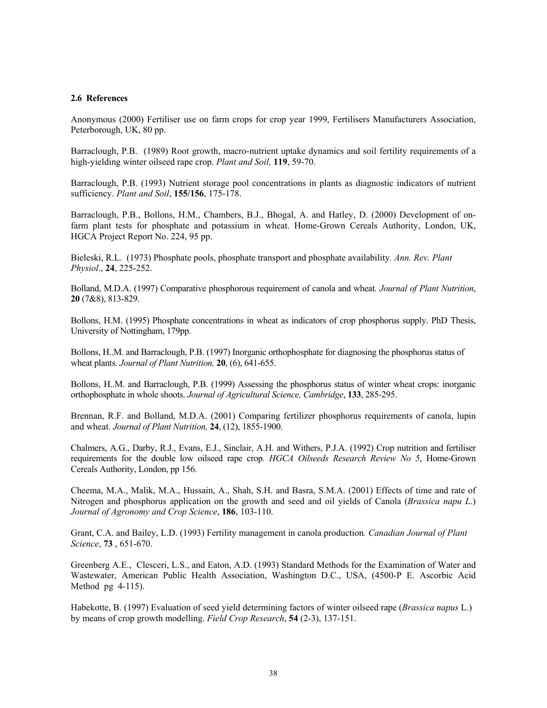#### **2.6 References**

Anonymous (2000) Fertiliser use on farm crops for crop year 1999, Fertilisers Manufacturers Association, Peterborough, UK, 80 pp.

Barraclough, P.B. (1989) Root growth, macro-nutrient uptake dynamics and soil fertility requirements of a high-yielding winter oilseed rape crop. *Plant and Soil,* **119**, 59-70.

Barraclough, P.B. (1993) Nutrient storage pool concentrations in plants as diagnostic indicators of nutrient sufficiency. *Plant and Soil*, **155/156**, 175-178.

Barraclough, P.B., Bollons, H.M., Chambers, B.J., Bhogal, A. and Hatley, D. (2000) Development of onfarm plant tests for phosphate and potassium in wheat. Home-Grown Cereals Authority, London, UK, HGCA Project Report No. 224, 95 pp.

Bieleski, R.L. (1973) Phosphate pools, phosphate transport and phosphate availability*. Ann. Rev. Plant Physiol*., **24**, 225-252.

Bolland, M.D.A. (1997) Comparative phosphorous requirement of canola and wheat*. Journal of Plant Nutrition*, **20** (7&8), 813-829.

Bollons, H.M. (1995) Phosphate concentrations in wheat as indicators of crop phosphorus supply. PhD Thesis, University of Nottingham, 179pp.

Bollons, H..M. and Barraclough, P.B. (1997) Inorganic orthophosphate for diagnosing the phosphorus status of wheat plants. *Journal of Plant Nutrition,* **20**, (6), 641-655.

Bollons, H..M. and Barraclough, P.B. (1999) Assessing the phosphorus status of winter wheat crops: inorganic orthophosphate in whole shoots. *Journal of Agricultural Science, Cambridge*, **133**, 285-295.

Brennan, R.F. and Bolland, M.D.A. (2001) Comparing fertilizer phosphorus requirements of canola, lupin and wheat. *Journal of Plant Nutrition,* **24**, (12), 1855-1900.

Chalmers, A.G., Darby, R.J., Evans, E.J., Sinclair, A.H. and Withers, P.J.A. (1992) Crop nutrition and fertiliser requirements for the double low oilseed rape crop*. HGCA Oilseeds Research Review No 5*, Home-Grown Cereals Authority, London, pp 156.

Cheema, M.A., Malik, M.A., Hussain, A., Shah, S.H. and Basra, S.M.A. (2001) Effects of time and rate of Nitrogen and phosphorus application on the growth and seed and oil yields of Canola (*Brassica napu L*.) *Journal of Agronomy and Crop Science*, **186**, 103-110.

Grant, C.A. and Bailey, L.D. (1993) Fertility management in canola production*. Canadian Journal of Plant Science*, **73** , 651-670.

Greenberg A.E., Clesceri, L.S., and Eaton, A.D. (1993) Standard Methods for the Examination of Water and Wastewater, American Public Health Association, Washington D.C., USA, (4500-P E. Ascorbic Acid Method pg 4-115).

Habekotte, B. (1997) Evaluation of seed yield determining factors of winter oilseed rape (*Brassica napus* L.) by means of crop growth modelling. *Field Crop Research*, **54** (2-3), 137-151.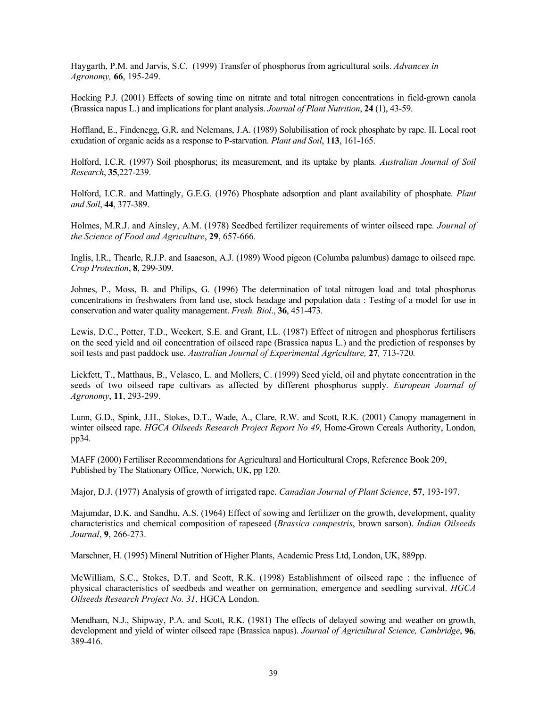Haygarth, P.M. and Jarvis, S.C. (1999) Transfer of phosphorus from agricultural soils. *Advances in Agronomy,* **66**, 195-249.

Hocking P.J. (2001) Effects of sowing time on nitrate and total nitrogen concentrations in field-grown canola (Brassica napus L.) and implications for plant analysis. *Journal of Plant Nutrition*, **24** (1), 43-59.

Hoffland, E., Findenegg, G.R. and Nelemans, J.A. (1989) Solubilisation of rock phosphate by rape. II. Local root exudation of organic acids as a response to P-starvation. *Plant and Soil*, **113**, 161-165.

Holford, I.C.R. (1997) Soil phosphorus; its measurement, and its uptake by plants*. Australian Journal of Soil Research*, **35**,227-239.

Holford, I.C.R. and Mattingly, G.E.G. (1976) Phosphate adsorption and plant availability of phosphate*. Plant and Soil*, **44**, 377-389.

Holmes, M.R.J. and Ainsley, A.M. (1978) Seedbed fertilizer requirements of winter oilseed rape*. Journal of the Science of Food and Agriculture*, **29**, 657-666.

Inglis, I.R., Thearle, R.J.P. and Isaacson, A.J. (1989) Wood pigeon (Columba palumbus) damage to oilseed rape. *Crop Protection*, **8**, 299-309.

Johnes, P., Moss, B. and Philips, G. (1996) The determination of total nitrogen load and total phosphorus concentrations in freshwaters from land use, stock headage and population data : Testing of a model for use in conservation and water quality management. *Fresh. Biol*., **36**, 451-473.

Lewis, D.C., Potter, T.D., Weckert, S.E. and Grant, I.L. (1987) Effect of nitrogen and phosphorus fertilisers on the seed yield and oil concentration of oilseed rape (Brassica napus L.) and the prediction of responses by soil tests and past paddock use. *Australian Journal of Experimental Agriculture,* **27***,* 713-720*.* 

Lickfett, T., Matthaus, B., Velasco, L. and Mollers, C. (1999) Seed yield, oil and phytate concentration in the seeds of two oilseed rape cultivars as affected by different phosphorus supply*. European Journal of Agronomy*, **11**, 293-299.

Lunn, G.D., Spink, J.H., Stokes, D.T., Wade, A., Clare, R.W. and Scott, R.K. (2001) Canopy management in winter oilseed rape. *HGCA Oilseeds Research Project Report No 49*, Home-Grown Cereals Authority, London, pp34.

MAFF (2000) Fertiliser Recommendations for Agricultural and Horticultural Crops, Reference Book 209, Published by The Stationary Office, Norwich, UK, pp 120.

Major, D.J. (1977) Analysis of growth of irrigated rape. *Canadian Journal of Plant Science*, **57**, 193-197.

Majumdar, D.K. and Sandhu, A.S. (1964) Effect of sowing and fertilizer on the growth, development, quality characteristics and chemical composition of rapeseed (*Brassica campestris*, brown sarson). *Indian Oilseeds Journal*, **9**, 266-273.

Marschner, H. (1995) Mineral Nutrition of Higher Plants, Academic Press Ltd, London, UK, 889pp.

McWilliam, S.C., Stokes, D.T. and Scott, R.K. (1998) Establishment of oilseed rape : the influence of physical characteristics of seedbeds and weather on germination, emergence and seedling survival. *HGCA Oilseeds Research Project No. 31*, HGCA London.

Mendham, N.J., Shipway, P.A. and Scott, R.K. (1981) The effects of delayed sowing and weather on growth, development and yield of winter oilseed rape (Brassica napus). *Journal of Agricultural Science, Cambridge*, **96**, 389-416.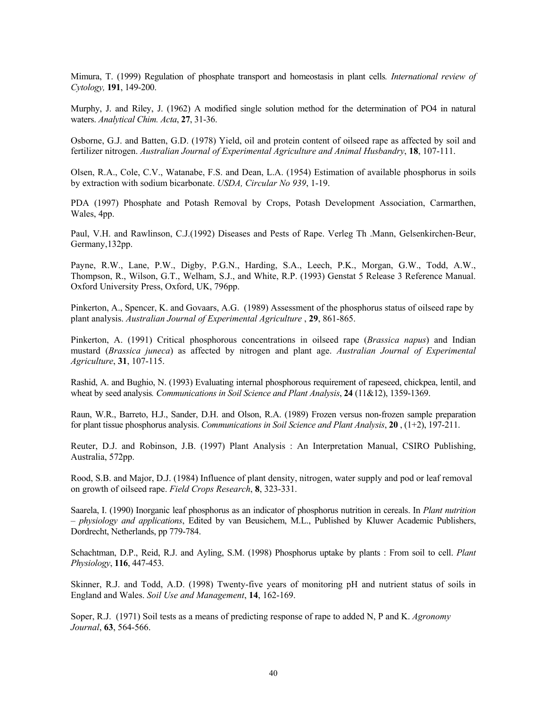Mimura, T. (1999) Regulation of phosphate transport and homeostasis in plant cells*. International review of Cytology,* **191**, 149-200.

Murphy, J. and Riley, J. (1962) A modified single solution method for the determination of PO4 in natural waters. *Analytical Chim. Acta*, **27**, 31-36.

Osborne, G.J. and Batten, G.D. (1978) Yield, oil and protein content of oilseed rape as affected by soil and fertilizer nitrogen. *Australian Journal of Experimental Agriculture and Animal Husbandry*, **18**, 107-111.

Olsen, R.A., Cole, C.V., Watanabe, F.S. and Dean, L.A. (1954) Estimation of available phosphorus in soils by extraction with sodium bicarbonate. *USDA, Circular No 939*, 1-19.

PDA (1997) Phosphate and Potash Removal by Crops, Potash Development Association, Carmarthen, Wales, 4pp.

Paul, V.H. and Rawlinson, C.J.(1992) Diseases and Pests of Rape. Verleg Th .Mann, Gelsenkirchen-Beur, Germany,132pp.

Payne, R.W., Lane, P.W., Digby, P.G.N., Harding, S.A., Leech, P.K., Morgan, G.W., Todd, A.W., Thompson, R., Wilson, G.T., Welham, S.J., and White, R.P. (1993) Genstat 5 Release 3 Reference Manual. Oxford University Press, Oxford, UK, 796pp.

Pinkerton, A., Spencer, K. and Govaars, A.G. (1989) Assessment of the phosphorus status of oilseed rape by plant analysis. *Australian Journal of Experimental Agriculture* , **29**, 861-865.

Pinkerton, A. (1991) Critical phosphorous concentrations in oilseed rape (*Brassica napus*) and Indian mustard (*Brassica juneca*) as affected by nitrogen and plant age. *Australian Journal of Experimental Agriculture*, **31**, 107-115.

Rashid, A. and Bughio, N. (1993) Evaluating internal phosphorous requirement of rapeseed, chickpea, lentil, and wheat by seed analysis*. Communications in Soil Science and Plant Analysis*, **24** (11&12), 1359-1369.

Raun, W.R., Barreto, H.J., Sander, D.H. and Olson, R.A. (1989) Frozen versus non-frozen sample preparation for plant tissue phosphorus analysis. *Communications in Soil Science and Plant Analysis*, **20** , (1+2), 197-211.

Reuter, D.J. and Robinson, J.B. (1997) Plant Analysis : An Interpretation Manual, CSIRO Publishing, Australia, 572pp.

Rood, S.B. and Major, D.J. (1984) Influence of plant density, nitrogen, water supply and pod or leaf removal on growth of oilseed rape. *Field Crops Research*, **8**, 323-331.

Saarela, I. (1990) Inorganic leaf phosphorus as an indicator of phosphorus nutrition in cereals. In *Plant nutrition – physiology and applications*, Edited by van Beusichem, M.L., Published by Kluwer Academic Publishers, Dordrecht, Netherlands, pp 779-784.

Schachtman, D.P., Reid, R.J. and Ayling, S.M. (1998) Phosphorus uptake by plants : From soil to cell. *Plant Physiology*, **116**, 447-453.

Skinner, R.J. and Todd, A.D. (1998) Twenty-five years of monitoring pH and nutrient status of soils in England and Wales. *Soil Use and Management*, **14**, 162-169.

Soper, R.J. (1971) Soil tests as a means of predicting response of rape to added N, P and K. *Agronomy Journal*, **63**, 564-566.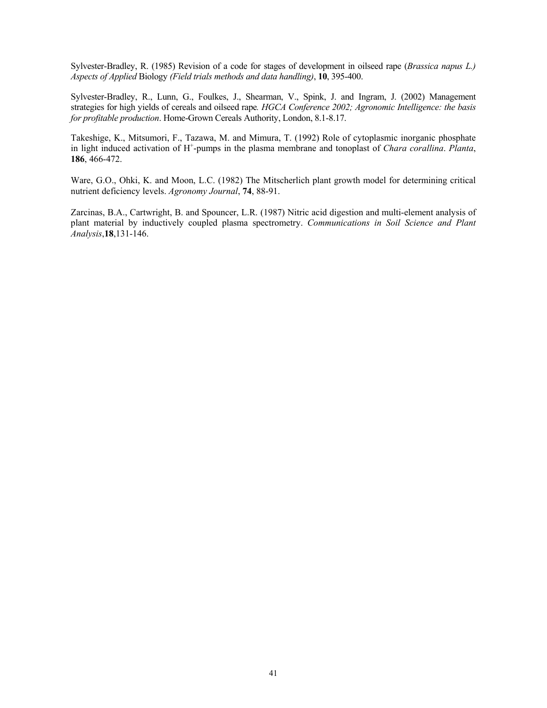Sylvester-Bradley, R. (1985) Revision of a code for stages of development in oilseed rape (*Brassica napus L.) Aspects of Applied* Biology *(Field trials methods and data handling)*, **10**, 395-400.

Sylvester-Bradley, R., Lunn, G., Foulkes, J., Shearman, V., Spink, J. and Ingram, J. (2002) Management strategies for high yields of cereals and oilseed rape*. HGCA Conference 2002; Agronomic Intelligence: the basis for profitable production*. Home-Grown Cereals Authority, London, 8.1-8.17.

Takeshige, K., Mitsumori, F., Tazawa, M. and Mimura, T. (1992) Role of cytoplasmic inorganic phosphate in light induced activation of H+ -pumps in the plasma membrane and tonoplast of *Chara corallina*. *Planta*, **186**, 466-472.

Ware, G.O., Ohki, K. and Moon, L.C. (1982) The Mitscherlich plant growth model for determining critical nutrient deficiency levels. *Agronomy Journal*, **74**, 88-91.

Zarcinas, B.A., Cartwright, B. and Spouncer, L.R. (1987) Nitric acid digestion and multi-element analysis of plant material by inductively coupled plasma spectrometry. *Communications in Soil Science and Plant Analysis*,**18**,131-146.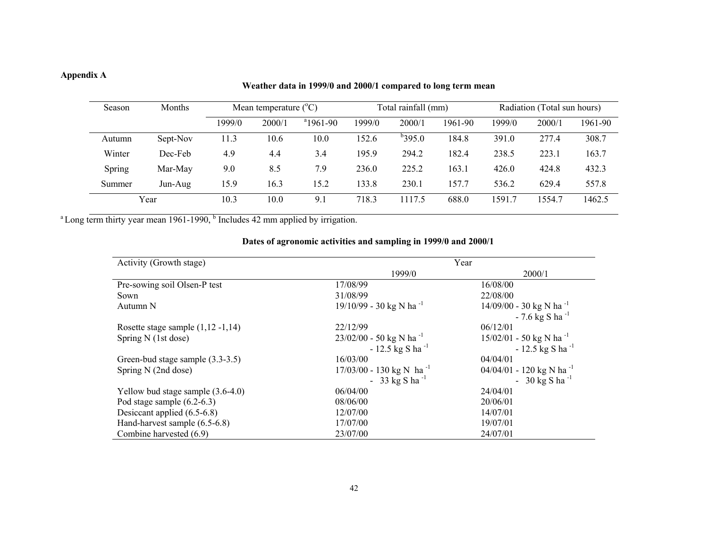## **Appendix A**

## **Weather data in 1999/0 and 2000/1 compared to long term mean**

| Season | Months   |        | Radiation (Total sun hours)<br>Mean temperature $(^{\circ}C)$<br>Total rainfall (mm) |             |        |           |         |        |        |         |
|--------|----------|--------|--------------------------------------------------------------------------------------|-------------|--------|-----------|---------|--------|--------|---------|
|        |          | 1999/0 | 2000/1                                                                               | $a$ 1961-90 | 1999/0 | 2000/1    | 1961-90 | 1999/0 | 2000/1 | 1961-90 |
| Autumn | Sept-Nov | 11.3   | 10.6                                                                                 | 10.0        | 152.6  | $b$ 395.0 | 184.8   | 391.0  | 277.4  | 308.7   |
| Winter | Dec-Feb  | 4.9    | 4.4                                                                                  | 3.4         | 195.9  | 294.2     | 182.4   | 238.5  | 223.1  | 163.7   |
| Spring | Mar-May  | 9.0    | 8.5                                                                                  | 7.9         | 236.0  | 225.2     | 163.1   | 426.0  | 424.8  | 432.3   |
| Summer | Jun-Aug  | 15.9   | 16.3                                                                                 | 15.2        | 133.8  | 230.1     | 157.7   | 536.2  | 629.4  | 557.8   |
|        | Year     | 10.3   | 10.0                                                                                 | 9.1         | 718.3  | 1117.5    | 688.0   | 1591.7 | 1554.7 | 1462.5  |

 $a$  Long term thirty year mean 1961-1990,  $b$  Includes 42 mm applied by irrigation.

| Activity (Growth stage)                | Year                                   |                                        |  |
|----------------------------------------|----------------------------------------|----------------------------------------|--|
|                                        | 1999/0                                 | 2000/1                                 |  |
| Pre-sowing soil Olsen-P test           | 17/08/99                               | 16/08/00                               |  |
| Sown                                   | 31/08/99                               | 22/08/00                               |  |
| Autumn N                               | 19/10/99 - 30 kg N ha <sup>-1</sup>    | $14/09/00 - 30$ kg N ha <sup>-1</sup>  |  |
|                                        |                                        | $-7.6$ kg S ha <sup>-1</sup>           |  |
| Rosette stage sample $(1, 12 - 1, 14)$ | 22/12/99                               | 06/12/01                               |  |
| Spring N (1st dose)                    | $23/02/00 - 50$ kg N ha <sup>-1</sup>  | $15/02/01 - 50$ kg N ha <sup>-1</sup>  |  |
|                                        | $-12.5$ kg S ha <sup>-1</sup>          | $-12.5$ kg S ha <sup>-1</sup>          |  |
| Green-bud stage sample (3.3-3.5)       | 16/03/00                               | 04/04/01                               |  |
| Spring N (2nd dose)                    | $17/03/00 - 130$ kg N ha <sup>-1</sup> | $04/04/01 - 120$ kg N ha <sup>-1</sup> |  |
|                                        | - 33 kg S ha <sup>-1</sup>             | - 30 kg S ha <sup>-1</sup>             |  |
| Yellow bud stage sample $(3.6-4.0)$    | 06/04/00                               | 24/04/01                               |  |
| Pod stage sample $(6.2-6.3)$           | 08/06/00                               | 20/06/01                               |  |
| Desiccant applied (6.5-6.8)            | 12/07/00                               | 14/07/01                               |  |
| Hand-harvest sample (6.5-6.8)          | 17/07/00                               | 19/07/01                               |  |
| Combine harvested (6.9)                | 23/07/00                               | 24/07/01                               |  |

## **Dates of agronomic activities and sampling in 1999/0 and 2000/1**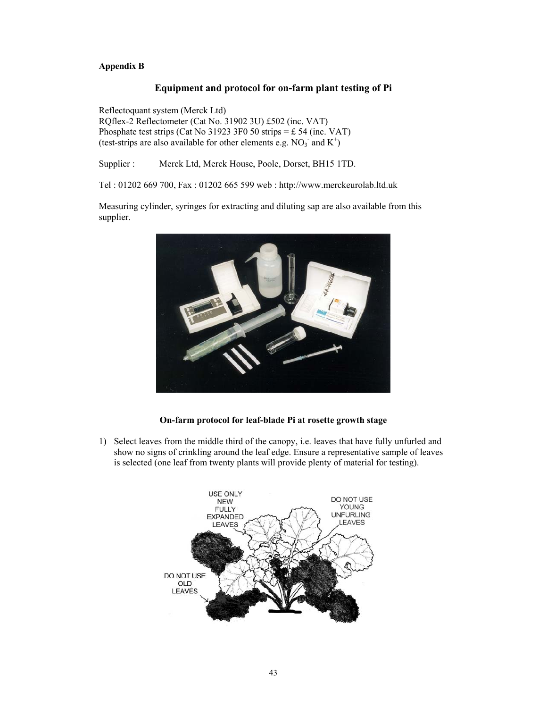### **Appendix B**

### **Equipment and protocol for on-farm plant testing of Pi**

Reflectoquant system (Merck Ltd) RQflex-2 Reflectometer (Cat No. 31902 3U) £502 (inc. VAT) Phosphate test strips (Cat No 31923 3F0 50 strips  $=$  £ 54 (inc. VAT) (test-strips are also available for other elements e.g.  $NO<sub>3</sub>$  and  $K<sup>+</sup>$ )

Supplier : Merck Ltd, Merck House, Poole, Dorset, BH15 1TD.

Tel : 01202 669 700, Fax : 01202 665 599 web : http://www.merckeurolab.ltd.uk

Measuring cylinder, syringes for extracting and diluting sap are also available from this supplier.

![](_page_45_Picture_6.jpeg)

**On-farm protocol for leaf-blade Pi at rosette growth stage** 

1) Select leaves from the middle third of the canopy, i.e. leaves that have fully unfurled and show no signs of crinkling around the leaf edge. Ensure a representative sample of leaves is selected (one leaf from twenty plants will provide plenty of material for testing).

![](_page_45_Figure_9.jpeg)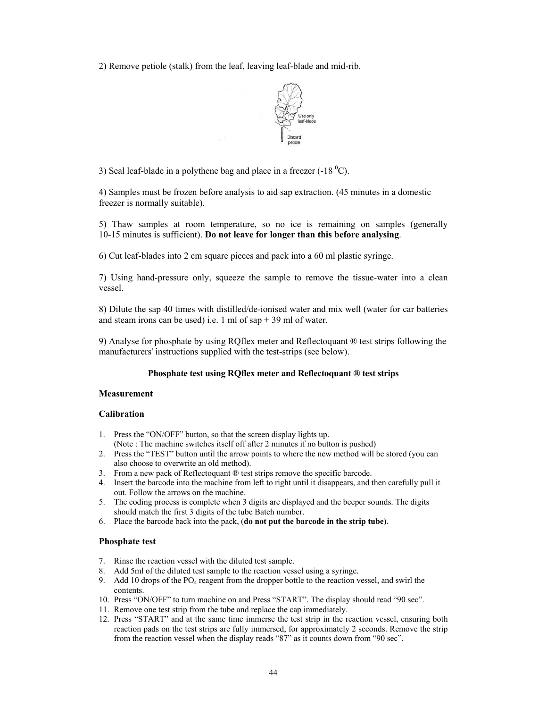2) Remove petiole (stalk) from the leaf, leaving leaf-blade and mid-rib.

![](_page_46_Picture_1.jpeg)

3) Seal leaf-blade in a polythene bag and place in a freezer  $(-18 \degree C)$ .

4) Samples must be frozen before analysis to aid sap extraction. (45 minutes in a domestic freezer is normally suitable).

5) Thaw samples at room temperature, so no ice is remaining on samples (generally 10-15 minutes is sufficient). **Do not leave for longer than this before analysing**.

6) Cut leaf-blades into 2 cm square pieces and pack into a 60 ml plastic syringe.

7) Using hand-pressure only, squeeze the sample to remove the tissue-water into a clean vessel.

8) Dilute the sap 40 times with distilled/de-ionised water and mix well (water for car batteries and steam irons can be used) i.e. 1 ml of sap  $+39$  ml of water.

9) Analyse for phosphate by using RQflex meter and Reflectoquant ® test strips following the manufacturers' instructions supplied with the test-strips (see below).

#### **Phosphate test using RQflex meter and Reflectoquant ® test strips**

#### **Measurement**

#### **Calibration**

- 1. Press the "ON/OFF" button, so that the screen display lights up. (Note : The machine switches itself off after 2 minutes if no button is pushed)
- 2. Press the "TEST" button until the arrow points to where the new method will be stored (you can also choose to overwrite an old method).
- 3. From a new pack of Reflectoquant ® test strips remove the specific barcode.
- 4. Insert the barcode into the machine from left to right until it disappears, and then carefully pull it out. Follow the arrows on the machine.
- 5. The coding process is complete when 3 digits are displayed and the beeper sounds. The digits should match the first 3 digits of the tube Batch number.
- 6. Place the barcode back into the pack, (**do not put the barcode in the strip tube)**.

#### **Phosphate test**

- 7. Rinse the reaction vessel with the diluted test sample.
- 8. Add 5ml of the diluted test sample to the reaction vessel using a syringe.
- 9. Add 10 drops of the  $PO_4$  reagent from the dropper bottle to the reaction vessel, and swirl the contents.
- 10. Press "ON/OFF" to turn machine on and Press "START". The display should read "90 sec".
- 11. Remove one test strip from the tube and replace the cap immediately.
- 12. Press "START" and at the same time immerse the test strip in the reaction vessel, ensuring both reaction pads on the test strips are fully immersed, for approximately 2 seconds. Remove the strip from the reaction vessel when the display reads "87" as it counts down from "90 sec".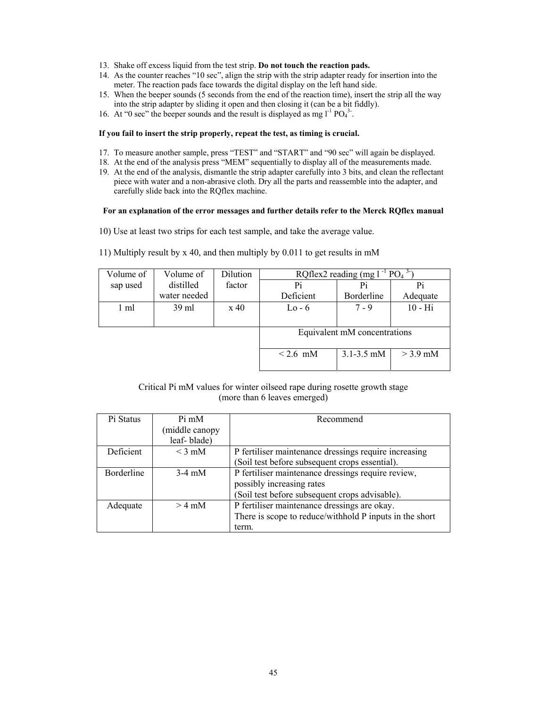- 13. Shake off excess liquid from the test strip. **Do not touch the reaction pads.**
- 14. As the counter reaches "10 sec", align the strip with the strip adapter ready for insertion into the meter. The reaction pads face towards the digital display on the left hand side.
- 15. When the beeper sounds (5 seconds from the end of the reaction time), insert the strip all the way into the strip adapter by sliding it open and then closing it (can be a bit fiddly).
- 16. At "0 sec" the beeper sounds and the result is displayed as mg  $1^{-1}$  PO<sub>4</sub><sup>3</sup>.

#### **If you fail to insert the strip properly, repeat the test, as timing is crucial.**

- 17. To measure another sample, press "TEST" and "START" and "90 sec" will again be displayed.
- 18. At the end of the analysis press "MEM" sequentially to display all of the measurements made.
- 19. At the end of the analysis, dismantle the strip adapter carefully into 3 bits, and clean the reflectant piece with water and a non-abrasive cloth. Dry all the parts and reassemble into the adapter, and carefully slide back into the RQflex machine.

#### **For an explanation of the error messages and further details refer to the Merck RQflex manual**

- 10) Use at least two strips for each test sample, and take the average value.
- 11) Multiply result by x 40, and then multiply by 0.011 to get results in mM

| Volume of | Volume of       | Dilution                     | RQflex2 reading (mg $1^{-1}$ PO <sub>4</sub> <sup>3-</sup> |                |            |
|-----------|-----------------|------------------------------|------------------------------------------------------------|----------------|------------|
| sap used  | distilled       | factor                       | Pi                                                         | Pi             | Pi         |
|           | water needed    |                              | Deficient                                                  | Borderline     | Adequate   |
| 1 ml      | $39 \text{ ml}$ | $\boldsymbol{\mathrm{x}}$ 40 | $Lo-6$                                                     | $7 - 9$        | $10 - Hi$  |
|           |                 |                              |                                                            |                |            |
|           |                 | Equivalent mM concentrations |                                                            |                |            |
|           |                 |                              | $\leq$ 2.6 mM                                              | $3.1 - 3.5$ mM | $>$ 3.9 mM |

#### Critical Pi mM values for winter oilseed rape during rosette growth stage (more than 6 leaves emerged)

| Pi Status  | $Pi \, \text{m}$ | Recommend                                               |  |
|------------|------------------|---------------------------------------------------------|--|
|            | middle canopy    |                                                         |  |
|            | leaf-blade)      |                                                         |  |
| Deficient  | $\leq$ 3 mM      | P fertiliser maintenance dressings require increasing   |  |
|            |                  | (Soil test before subsequent crops essential).          |  |
| Borderline | $3-4$ mM         | P fertiliser maintenance dressings require review,      |  |
|            |                  | possibly increasing rates                               |  |
|            |                  | (Soil test before subsequent crops advisable).          |  |
| Adequate   | $>$ 4 mM         | P fertiliser maintenance dressings are okay.            |  |
|            |                  | There is scope to reduce/withhold P inputs in the short |  |
|            |                  | term.                                                   |  |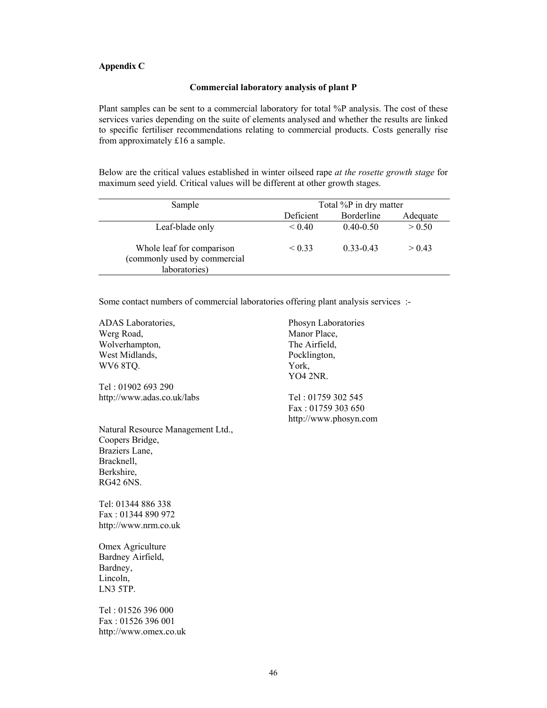#### **Appendix C**

#### **Commercial laboratory analysis of plant P**

Plant samples can be sent to a commercial laboratory for total %P analysis. The cost of these services varies depending on the suite of elements analysed and whether the results are linked to specific fertiliser recommendations relating to commercial products. Costs generally rise from approximately £16 a sample.

Below are the critical values established in winter oilseed rape *at the rosette growth stage* for maximum seed yield. Critical values will be different at other growth stages.

| Sample                                                                     | Total %P in dry matter |               |          |
|----------------------------------------------------------------------------|------------------------|---------------|----------|
|                                                                            | Deficient              | Borderline    | Adequate |
| Leaf-blade only                                                            | < 0.40                 | $0.40 - 0.50$ | > 0.50   |
| Whole leaf for comparison<br>(commonly used by commercial<br>laboratories) | < 0.33                 | $0.33 - 0.43$ | > 0.43   |

Some contact numbers of commercial laboratories offering plant analysis services :-

| <b>ADAS</b> Laboratories,         | Phosyn Laboratories   |
|-----------------------------------|-----------------------|
| Werg Road,                        | Manor Place,          |
| Wolverhampton,                    | The Airfield,         |
| West Midlands,                    | Pocklington,          |
| WV6 8TQ.                          | York,                 |
|                                   | <b>YO4 2NR.</b>       |
| Tel : 01902 693 290               |                       |
| http://www.adas.co.uk/labs        | Tel: 01759 302 545    |
|                                   | Fax: 01759 303 650    |
|                                   | http://www.phosyn.com |
| Natural Resource Management Ltd., |                       |
| Coopers Bridge,                   |                       |
| Braziers Lane,                    |                       |
| Bracknell,                        |                       |
| Berkshire,                        |                       |
| RG42 6NS.                         |                       |
| Tel: 01344 886 338                |                       |
|                                   |                       |

Fax : 01344 890 972 http://www.nrm.co.uk

Omex Agriculture Bardney Airfield, Bardney, Lincoln, LN3 5TP.

Tel : 01526 396 000 Fax : 01526 396 001 http://www.omex.co.uk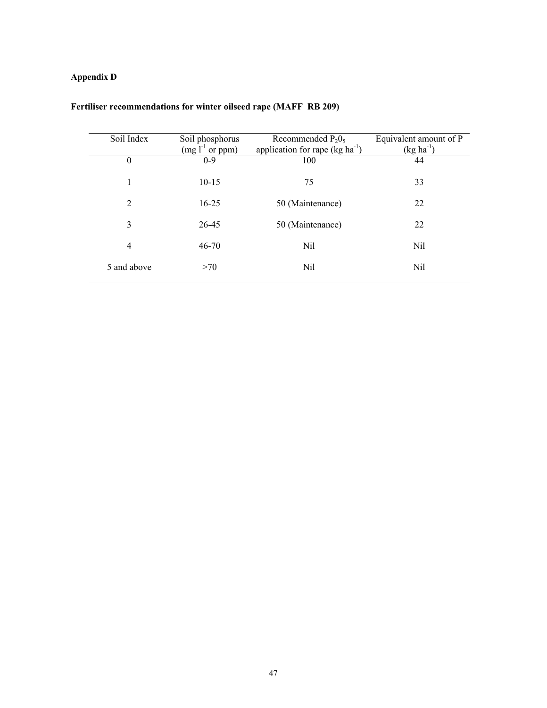## **Appendix D**

| Soil Index       | Soil phosphorus   | Recommended $P_2O_5$                | Equivalent amount of P |
|------------------|-------------------|-------------------------------------|------------------------|
|                  | $(mg l-1 or ppm)$ | application for rape $(kg ha^{-1})$ | $(kg ha^{-1})$         |
| $\boldsymbol{0}$ | $0-9$             | 100                                 | 44                     |
| 1                | $10 - 15$         | 75                                  | 33                     |
| 2                | $16 - 25$         | 50 (Maintenance)                    | 22                     |
| 3                | 26-45             | 50 (Maintenance)                    | 22                     |
| 4                | $46 - 70$         | Nil                                 | Nil                    |
| 5 and above      | >70               | Nil                                 | Nil                    |

## **Fertiliser recommendations for winter oilseed rape (MAFF RB 209)**